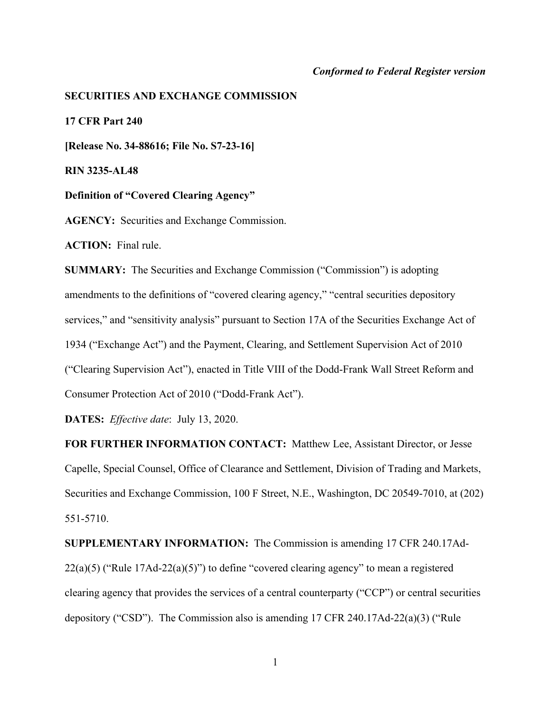# *Conformed to Federal Register version*

#### **SECURITIES AND EXCHANGE COMMISSION**

**17 CFR Part 240**

**[Release No. 34-88616; File No. S7-23-16]**

**RIN 3235-AL48**

**Definition of "Covered Clearing Agency"** 

**AGENCY:** Securities and Exchange Commission.

**ACTION:** Final rule.

**SUMMARY:** The Securities and Exchange Commission ("Commission") is adopting amendments to the definitions of "covered clearing agency," "central securities depository services," and "sensitivity analysis" pursuant to Section 17A of the Securities Exchange Act of 1934 ("Exchange Act") and the Payment, Clearing, and Settlement Supervision Act of 2010 ("Clearing Supervision Act"), enacted in Title VIII of the Dodd-Frank Wall Street Reform and Consumer Protection Act of 2010 ("Dodd-Frank Act").

**DATES:** *Effective date*: July 13, 2020.

**FOR FURTHER INFORMATION CONTACT:** Matthew Lee, Assistant Director, or Jesse Capelle, Special Counsel, Office of Clearance and Settlement, Division of Trading and Markets, Securities and Exchange Commission, 100 F Street, N.E., Washington, DC 20549-7010, at (202) 551-5710.

**SUPPLEMENTARY INFORMATION:** The Commission is amending 17 CFR 240.17Ad-22(a)(5) ("Rule 17Ad-22(a)(5)") to define "covered clearing agency" to mean a registered clearing agency that provides the services of a central counterparty ("CCP") or central securities depository ("CSD"). The Commission also is amending 17 CFR 240.17Ad-22(a)(3) ("Rule

1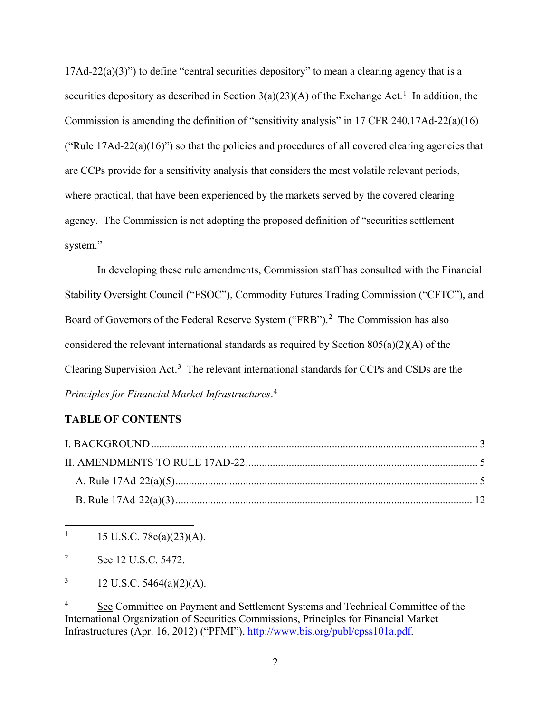17Ad-22(a)(3)") to define "central securities depository" to mean a clearing agency that is a securities depository as described in Section  $3(a)(23)(A)$  of the Exchange Act.<sup>[1](#page-1-0)</sup> In addition, the Commission is amending the definition of "sensitivity analysis" in 17 CFR 240.17Ad-22(a)(16) ("Rule  $17Ad-22(a)(16)$ ") so that the policies and procedures of all covered clearing agencies that are CCPs provide for a sensitivity analysis that considers the most volatile relevant periods, where practical, that have been experienced by the markets served by the covered clearing agency. The Commission is not adopting the proposed definition of "securities settlement system."

In developing these rule amendments, Commission staff has consulted with the Financial Stability Oversight Council ("FSOC"), Commodity Futures Trading Commission ("CFTC"), and Board of Governors of the Federal Reserve System ("FRB").<sup>[2](#page-1-1)</sup> The Commission has also considered the relevant international standards as required by Section  $805(a)(2)(A)$  of the Clearing Supervision Act.<sup>[3](#page-1-2)</sup> The relevant international standards for CCPs and CSDs are the *Principles for Financial Market Infrastructures*. [4](#page-1-3)

# <span id="page-1-4"></span>**TABLE OF CONTENTS**

<span id="page-1-0"></span><sup>1</sup> 15 U.S.C. 78c(a)(23)(A).

<span id="page-1-1"></span><sup>2</sup> See 12 U.S.C. 5472.

<span id="page-1-2"></span><sup>3</sup> 12 U.S.C. 5464(a)(2)(A).

<span id="page-1-3"></span><sup>4</sup> See Committee on Payment and Settlement Systems and Technical Committee of the International Organization of Securities Commissions, Principles for Financial Market Infrastructures (Apr. 16, 2012) ("PFMI"), [http://www.bis.org/publ/cpss101a.pdf.](http://www.bis.org/publ/cpss101a.pdf)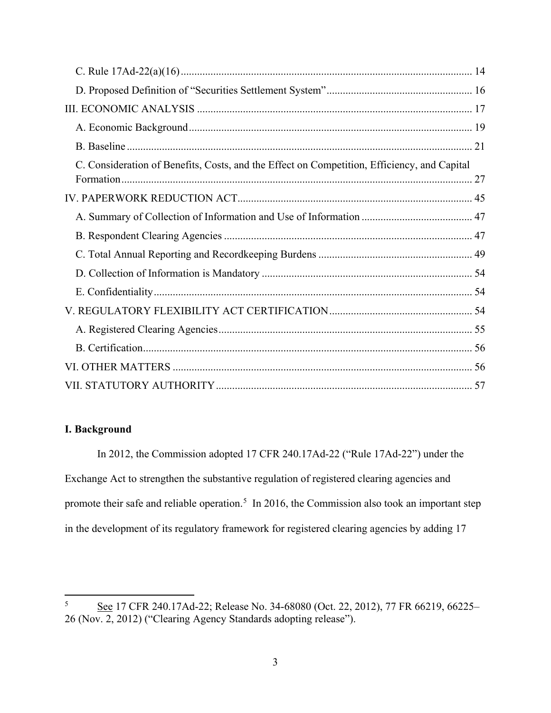| C. Consideration of Benefits, Costs, and the Effect on Competition, Efficiency, and Capital |  |
|---------------------------------------------------------------------------------------------|--|
|                                                                                             |  |
|                                                                                             |  |
|                                                                                             |  |
|                                                                                             |  |
|                                                                                             |  |
|                                                                                             |  |
|                                                                                             |  |
|                                                                                             |  |
|                                                                                             |  |
|                                                                                             |  |
|                                                                                             |  |

# <span id="page-2-0"></span>**I. Background**

<span id="page-2-2"></span>In 2012, the Commission adopted 17 CFR 240.17Ad-22 ("Rule 17Ad-22") under the Exchange Act to strengthen the substantive regulation of registered clearing agencies and promote their safe and reliable operation.<sup>[5](#page-2-1)</sup> In 2016, the Commission also took an important step in the development of its regulatory framework for registered clearing agencies by adding 17

<span id="page-2-1"></span><sup>&</sup>lt;sup>5</sup> See 17 CFR 240.17Ad-22; Release No. 34-68080 (Oct. 22, 2012), 77 FR 66219, 66225– 26 (Nov. 2, 2012) ("Clearing Agency Standards adopting release").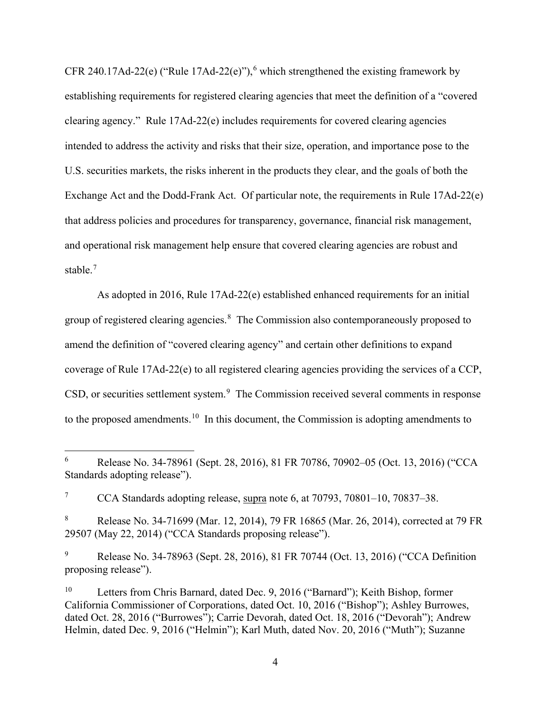<span id="page-3-0"></span>CFR 240.17Ad-22(e) ("Rule 17Ad-22(e)"),<sup>[6](#page-3-1)</sup> which strengthened the existing framework by establishing requirements for registered clearing agencies that meet the definition of a "covered clearing agency." Rule 17Ad-22(e) includes requirements for covered clearing agencies intended to address the activity and risks that their size, operation, and importance pose to the U.S. securities markets, the risks inherent in the products they clear, and the goals of both the Exchange Act and the Dodd-Frank Act. Of particular note, the requirements in Rule 17Ad-22(e) that address policies and procedures for transparency, governance, financial risk management, and operational risk management help ensure that covered clearing agencies are robust and stable. [7](#page-3-2)

As adopted in 2016, Rule 17Ad-22(e) established enhanced requirements for an initial group of registered clearing agencies.<sup>[8](#page-3-3)</sup> The Commission also contemporaneously proposed to amend the definition of "covered clearing agency" and certain other definitions to expand coverage of Rule 17Ad-22(e) to all registered clearing agencies providing the services of a CCP,  $CSD$ , or securities settlement system. $9$  The Commission received several comments in response to the proposed amendments.<sup>[10](#page-3-5)</sup> In this document, the Commission is adopting amendments to

<span id="page-3-6"></span><span id="page-3-1"></span> <sup>6</sup> Release No. 34-78961 (Sept. 28, 2016), 81 FR 70786, 70902–05 (Oct. 13, 2016) ("CCA Standards adopting release").

<span id="page-3-2"></span><sup>&</sup>lt;sup>7</sup> CCA Standards adopting release, supra note [6,](#page-3-0) at 70793, 70801–10, 70837–38.

<span id="page-3-3"></span><sup>8</sup> Release No. 34-71699 (Mar. 12, 2014), 79 FR 16865 (Mar. 26, 2014), corrected at 79 FR 29507 (May 22, 2014) ("CCA Standards proposing release").

<span id="page-3-4"></span><sup>9</sup> Release No. 34-78963 (Sept. 28, 2016), 81 FR 70744 (Oct. 13, 2016) ("CCA Definition proposing release").

<span id="page-3-5"></span><sup>10</sup> Letters from Chris Barnard, dated Dec. 9, 2016 ("Barnard"); Keith Bishop, former California Commissioner of Corporations, dated Oct. 10, 2016 ("Bishop"); Ashley Burrowes, dated Oct. 28, 2016 ("Burrowes"); Carrie Devorah, dated Oct. 18, 2016 ("Devorah"); Andrew Helmin, dated Dec. 9, 2016 ("Helmin"); Karl Muth, dated Nov. 20, 2016 ("Muth"); Suzanne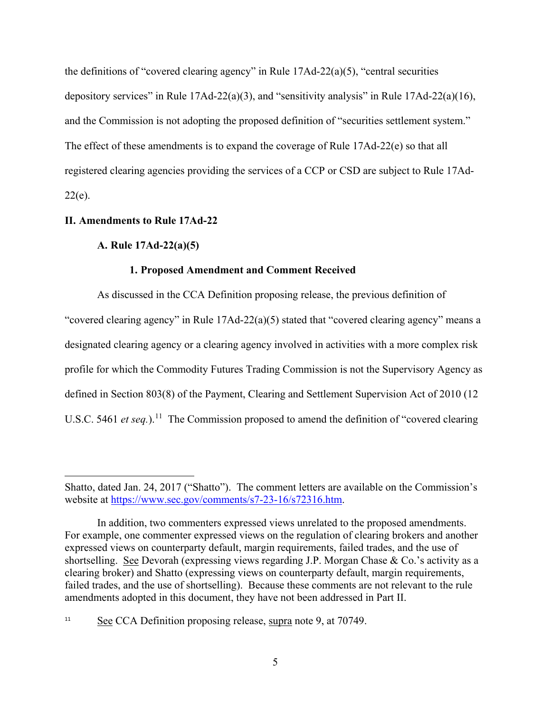the definitions of "covered clearing agency" in Rule 17Ad-22(a)(5), "central securities depository services" in Rule 17Ad-22(a)(3), and "sensitivity analysis" in Rule 17Ad-22(a)(16), and the Commission is not adopting the proposed definition of "securities settlement system." The effect of these amendments is to expand the coverage of Rule 17Ad-22(e) so that all registered clearing agencies providing the services of a CCP or CSD are subject to Rule 17Ad- $22(e)$ .

# <span id="page-4-1"></span><span id="page-4-0"></span>**II. Amendments to Rule 17Ad-22**

 $\overline{a}$ 

# **A. Rule 17Ad-22(a)(5)**

# **1. Proposed Amendment and Comment Received**

As discussed in the CCA Definition proposing release, the previous definition of "covered clearing agency" in Rule 17Ad-22(a)(5) stated that "covered clearing agency" means a designated clearing agency or a clearing agency involved in activities with a more complex risk profile for which the Commodity Futures Trading Commission is not the Supervisory Agency as defined in Section 803(8) of the Payment, Clearing and Settlement Supervision Act of 2010 (12 U.S.C. 5461 *et seq.*).<sup>11</sup> The Commission proposed to amend the definition of "covered clearing"

Shatto, dated Jan. 24, 2017 ("Shatto"). The comment letters are available on the Commission's website at [https://www.sec.gov/comments/s7-23-16/s72316.htm.](https://www.sec.gov/comments/s7-23-16/s72316.htm)

In addition, two commenters expressed views unrelated to the proposed amendments. For example, one commenter expressed views on the regulation of clearing brokers and another expressed views on counterparty default, margin requirements, failed trades, and the use of shortselling. See Devorah (expressing views regarding J.P. Morgan Chase & Co.'s activity as a clearing broker) and Shatto (expressing views on counterparty default, margin requirements, failed trades, and the use of shortselling). Because these comments are not relevant to the rule amendments adopted in this document, they have not been addressed in Part [II.](#page-4-0)

<span id="page-4-2"></span><sup>&</sup>lt;sup>11</sup> See CCA Definition proposing release, supra note [9,](#page-3-6) at 70749.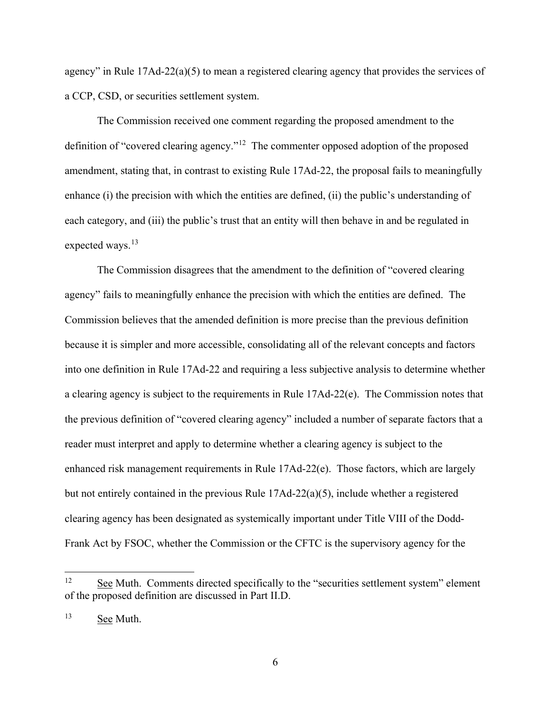agency" in Rule 17Ad-22(a)(5) to mean a registered clearing agency that provides the services of a CCP, CSD, or securities settlement system.

The Commission received one comment regarding the proposed amendment to the definition of "covered clearing agency."[12](#page-5-0) The commenter opposed adoption of the proposed amendment, stating that, in contrast to existing Rule 17Ad-22, the proposal fails to meaningfully enhance (i) the precision with which the entities are defined, (ii) the public's understanding of each category, and (iii) the public's trust that an entity will then behave in and be regulated in expected ways.<sup>[13](#page-5-1)</sup>

The Commission disagrees that the amendment to the definition of "covered clearing agency" fails to meaningfully enhance the precision with which the entities are defined. The Commission believes that the amended definition is more precise than the previous definition because it is simpler and more accessible, consolidating all of the relevant concepts and factors into one definition in Rule 17Ad-22 and requiring a less subjective analysis to determine whether a clearing agency is subject to the requirements in Rule 17Ad-22(e). The Commission notes that the previous definition of "covered clearing agency" included a number of separate factors that a reader must interpret and apply to determine whether a clearing agency is subject to the enhanced risk management requirements in Rule 17Ad-22(e). Those factors, which are largely but not entirely contained in the previous Rule 17Ad-22(a)(5), include whether a registered clearing agency has been designated as systemically important under Title VIII of the Dodd-Frank Act by FSOC, whether the Commission or the CFTC is the supervisory agency for the

<span id="page-5-0"></span><sup>&</sup>lt;sup>12</sup> See Muth. Comments directed specifically to the "securities settlement system" element of the proposed definition are discussed in Part [II.D.](#page-15-0)

<span id="page-5-1"></span><sup>&</sup>lt;sup>13</sup> See Muth.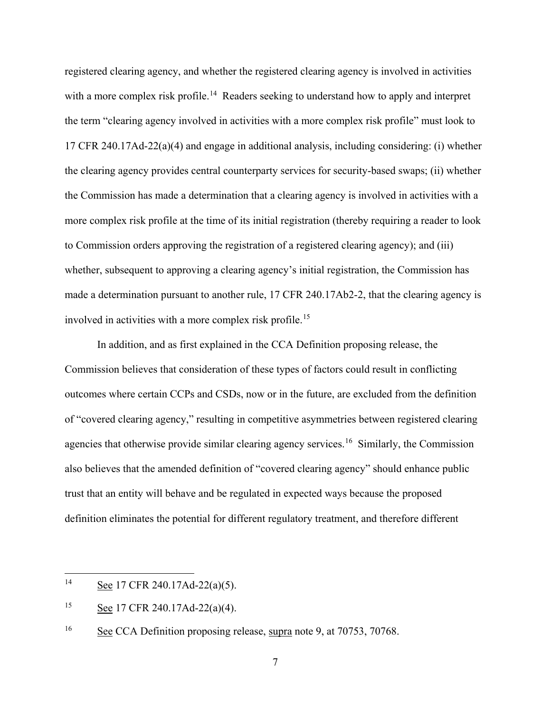registered clearing agency, and whether the registered clearing agency is involved in activities with a more complex risk profile.<sup>[14](#page-6-0)</sup> Readers seeking to understand how to apply and interpret the term "clearing agency involved in activities with a more complex risk profile" must look to 17 CFR 240.17Ad-22(a)(4) and engage in additional analysis, including considering: (i) whether the clearing agency provides central counterparty services for security-based swaps; (ii) whether the Commission has made a determination that a clearing agency is involved in activities with a more complex risk profile at the time of its initial registration (thereby requiring a reader to look to Commission orders approving the registration of a registered clearing agency); and (iii) whether, subsequent to approving a clearing agency's initial registration, the Commission has made a determination pursuant to another rule, 17 CFR 240.17Ab2-2, that the clearing agency is involved in activities with a more complex risk profile.[15](#page-6-1) 

In addition, and as first explained in the CCA Definition proposing release, the Commission believes that consideration of these types of factors could result in conflicting outcomes where certain CCPs and CSDs, now or in the future, are excluded from the definition of "covered clearing agency," resulting in competitive asymmetries between registered clearing agencies that otherwise provide similar clearing agency services.<sup>16</sup> Similarly, the Commission also believes that the amended definition of "covered clearing agency" should enhance public trust that an entity will behave and be regulated in expected ways because the proposed definition eliminates the potential for different regulatory treatment, and therefore different

<span id="page-6-0"></span> <sup>14</sup> See 17 CFR 240.17Ad-22(a)(5).

<span id="page-6-1"></span> $\frac{15}{2}$  See 17 CFR 240.17Ad-22(a)(4).

<span id="page-6-2"></span><sup>&</sup>lt;sup>16</sup> See CCA Definition proposing release, supra note [9,](#page-3-6) at 70753, 70768.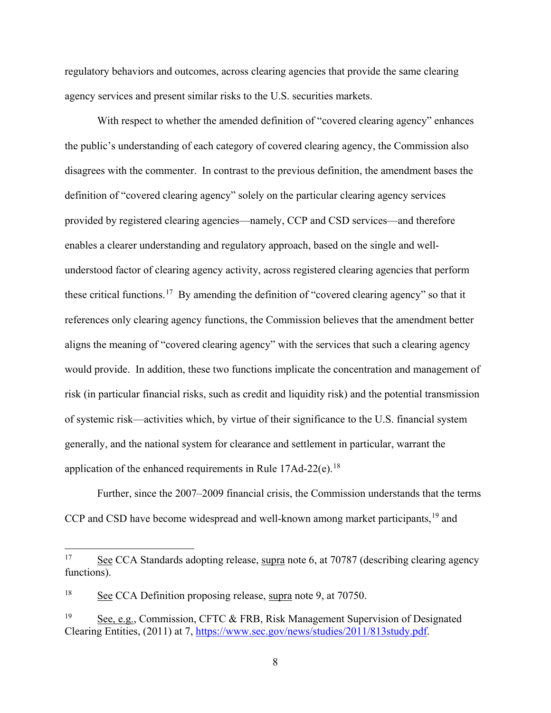regulatory behaviors and outcomes, across clearing agencies that provide the same clearing agency services and present similar risks to the U.S. securities markets.

With respect to whether the amended definition of "covered clearing agency" enhances the public's understanding of each category of covered clearing agency, the Commission also disagrees with the commenter. In contrast to the previous definition, the amendment bases the definition of "covered clearing agency" solely on the particular clearing agency services provided by registered clearing agencies—namely, CCP and CSD services—and therefore enables a clearer understanding and regulatory approach, based on the single and wellunderstood factor of clearing agency activity, across registered clearing agencies that perform these critical functions.<sup>[17](#page-7-0)</sup> By amending the definition of "covered clearing agency" so that it references only clearing agency functions, the Commission believes that the amendment better aligns the meaning of "covered clearing agency" with the services that such a clearing agency would provide. In addition, these two functions implicate the concentration and management of risk (in particular financial risks, such as credit and liquidity risk) and the potential transmission of systemic risk—activities which, by virtue of their significance to the U.S. financial system generally, and the national system for clearance and settlement in particular, warrant the application of the enhanced requirements in Rule  $17$ Ad-22(e).<sup>[18](#page-7-1)</sup>

<span id="page-7-3"></span>Further, since the 2007–2009 financial crisis, the Commission understands that the terms CCP and CSD have become widespread and well-known among market participants,<sup>[19](#page-7-2)</sup> and

<span id="page-7-0"></span><sup>&</sup>lt;sup>17</sup> See CCA Standards adopting release, supra note [6,](#page-3-0) at 70787 (describing clearing agency functions).

<span id="page-7-1"></span><sup>18</sup> See CCA Definition proposing release, supra note [9,](#page-3-6) at 70750.

<span id="page-7-2"></span><sup>&</sup>lt;sup>19</sup> See, e.g., Commission, CFTC & FRB, Risk Management Supervision of Designated Clearing Entities, (2011) at 7, [https://www.sec.gov/news/studies/2011/813study.pdf.](https://www.sec.gov/news/studies/2011/813study.pdf)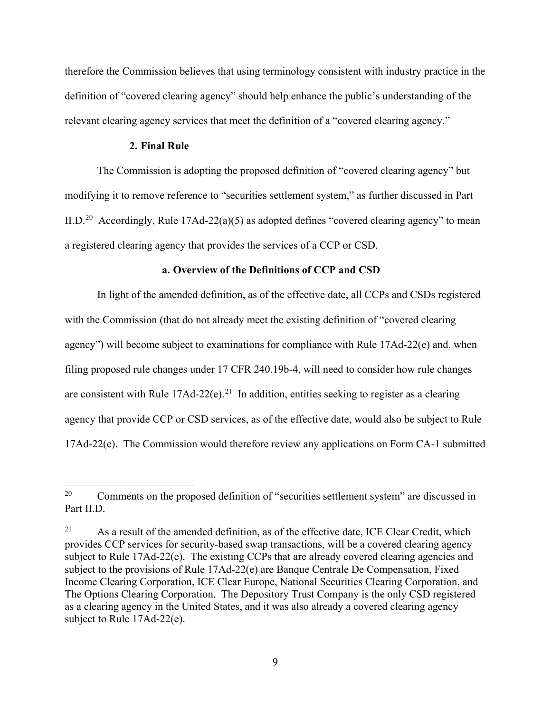therefore the Commission believes that using terminology consistent with industry practice in the definition of "covered clearing agency" should help enhance the public's understanding of the relevant clearing agency services that meet the definition of a "covered clearing agency."

# **2. Final Rule**

The Commission is adopting the proposed definition of "covered clearing agency" but modifying it to remove reference to "securities settlement system," as further discussed in Part [II.D.](#page-15-0)<sup>[20](#page-8-0)</sup> Accordingly, Rule 17Ad-22(a)(5) as adopted defines "covered clearing agency" to mean a registered clearing agency that provides the services of a CCP or CSD.

# <span id="page-8-2"></span>**a. Overview of the Definitions of CCP and CSD**

In light of the amended definition, as of the effective date, all CCPs and CSDs registered with the Commission (that do not already meet the existing definition of "covered clearing agency") will become subject to examinations for compliance with Rule 17Ad-22(e) and, when filing proposed rule changes under 17 CFR 240.19b-4, will need to consider how rule changes are consistent with Rule 17Ad-22(e).<sup>[21](#page-8-1)</sup> In addition, entities seeking to register as a clearing agency that provide CCP or CSD services, as of the effective date, would also be subject to Rule  $17Ad-22(e)$ . The Commission would therefore review any applications on Form CA-1 submitted

<span id="page-8-0"></span><sup>&</sup>lt;sup>20</sup> Comments on the proposed definition of "securities settlement system" are discussed in Part [II.D.](#page-15-0)

<span id="page-8-1"></span> $21$  As a result of the amended definition, as of the effective date, ICE Clear Credit, which provides CCP services for security-based swap transactions, will be a covered clearing agency subject to Rule 17Ad-22(e). The existing CCPs that are already covered clearing agencies and subject to the provisions of Rule 17Ad-22(e) are Banque Centrale De Compensation, Fixed Income Clearing Corporation, ICE Clear Europe, National Securities Clearing Corporation, and The Options Clearing Corporation. The Depository Trust Company is the only CSD registered as a clearing agency in the United States, and it was also already a covered clearing agency subject to Rule 17Ad-22(e).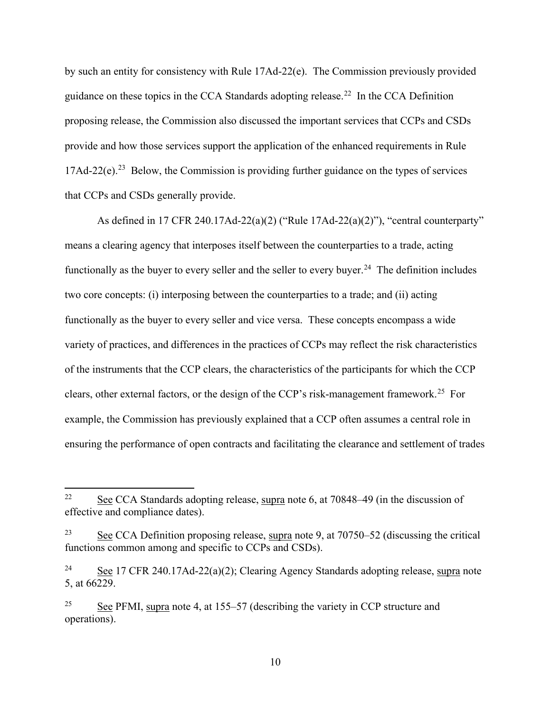by such an entity for consistency with Rule 17Ad-22(e). The Commission previously provided guidance on these topics in the CCA Standards adopting release.<sup>22</sup> In the CCA Definition proposing release, the Commission also discussed the important services that CCPs and CSDs provide and how those services support the application of the enhanced requirements in Rule  $17\text{Ad}-22$ (e).<sup>23</sup> Below, the Commission is providing further guidance on the types of services that CCPs and CSDs generally provide.

As defined in 17 CFR 240.17Ad-22(a)(2) ("Rule 17Ad-22(a)(2)"), "central counterparty" means a clearing agency that interposes itself between the counterparties to a trade, acting functionally as the buyer to every seller and the seller to every buyer.<sup>24</sup> The definition includes two core concepts: (i) interposing between the counterparties to a trade; and (ii) acting functionally as the buyer to every seller and vice versa. These concepts encompass a wide variety of practices, and differences in the practices of CCPs may reflect the risk characteristics of the instruments that the CCP clears, the characteristics of the participants for which the CCP clears, other external factors, or the design of the CCP's risk-management framework.<sup>[25](#page-9-3)</sup> For example, the Commission has previously explained that a CCP often assumes a central role in ensuring the performance of open contracts and facilitating the clearance and settlement of trades

<span id="page-9-0"></span><sup>&</sup>lt;sup>22</sup> See CCA Standards adopting release, supra note [6,](#page-3-0) at  $70848-49$  (in the discussion of effective and compliance dates).

<span id="page-9-1"></span><sup>&</sup>lt;sup>23</sup> See CCA Definition proposing release, supra note [9,](#page-3-6) at  $70750-52$  (discussing the critical functions common among and specific to CCPs and CSDs).

<span id="page-9-2"></span><sup>&</sup>lt;sup>24</sup> See 17 CFR 240.17Ad-22(a)(2); Clearing Agency Standards adopting release, supra note [5,](#page-2-2) at 66229.

<span id="page-9-3"></span> $25$  See PFMI, supra note [4,](#page-1-4) at 155–57 (describing the variety in CCP structure and operations).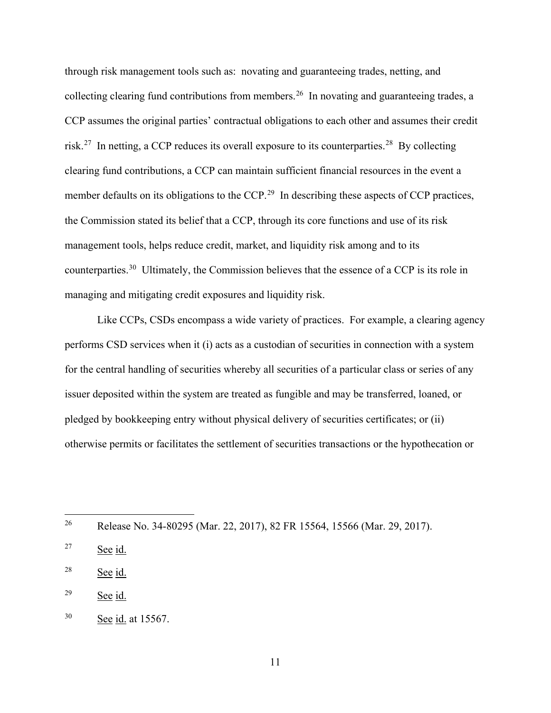through risk management tools such as: novating and guaranteeing trades, netting, and collecting clearing fund contributions from members.<sup>[26](#page-10-0)</sup> In novating and guaranteeing trades, a CCP assumes the original parties' contractual obligations to each other and assumes their credit risk.<sup>27</sup> In netting, a CCP reduces its overall exposure to its counterparties.<sup>28</sup> By collecting clearing fund contributions, a CCP can maintain sufficient financial resources in the event a member defaults on its obligations to the CCP.<sup>[29](#page-10-3)</sup> In describing these aspects of CCP practices, the Commission stated its belief that a CCP, through its core functions and use of its risk management tools, helps reduce credit, market, and liquidity risk among and to its counterparties.<sup>30</sup> Ultimately, the Commission believes that the essence of a CCP is its role in managing and mitigating credit exposures and liquidity risk.

Like CCPs, CSDs encompass a wide variety of practices. For example, a clearing agency performs CSD services when it (i) acts as a custodian of securities in connection with a system for the central handling of securities whereby all securities of a particular class or series of any issuer deposited within the system are treated as fungible and may be transferred, loaned, or pledged by bookkeeping entry without physical delivery of securities certificates; or (ii) otherwise permits or facilitates the settlement of securities transactions or the hypothecation or

<span id="page-10-0"></span>26 Release No. 34-80295 (Mar. 22, 2017), 82 FR 15564, 15566 (Mar. 29, 2017).

<span id="page-10-1"></span> $27$  See id.

<span id="page-10-2"></span><sup>28</sup> See id.

<span id="page-10-3"></span><sup>29</sup> See id.

<span id="page-10-4"></span><sup>30</sup> See id. at 15567.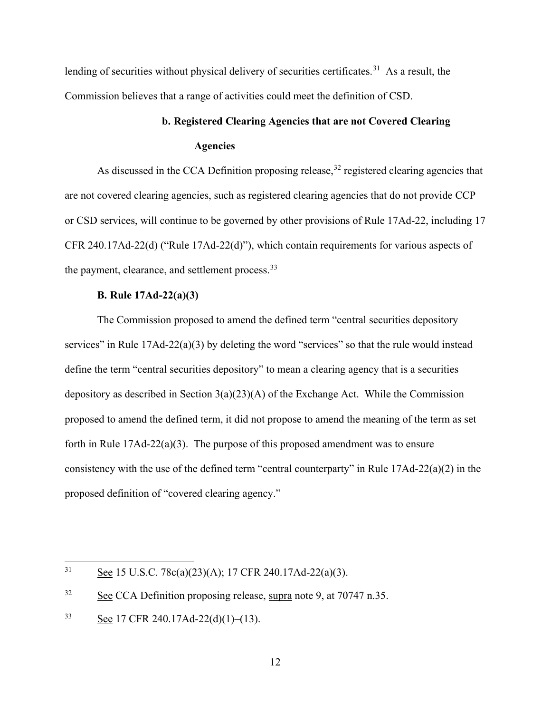lending of securities without physical delivery of securities certificates.<sup>31</sup> As a result, the Commission believes that a range of activities could meet the definition of CSD.

# **b. Registered Clearing Agencies that are not Covered Clearing Agencies**

As discussed in the CCA Definition proposing release,<sup>[32](#page-11-2)</sup> registered clearing agencies that are not covered clearing agencies, such as registered clearing agencies that do not provide CCP or CSD services, will continue to be governed by other provisions of Rule 17Ad-22, including 17 CFR 240.17Ad-22(d) ("Rule 17Ad-22(d)"), which contain requirements for various aspects of the payment, clearance, and settlement process.<sup>[33](#page-11-3)</sup>

# **B. Rule 17Ad-22(a)(3)**

<span id="page-11-0"></span>The Commission proposed to amend the defined term "central securities depository services" in Rule 17Ad-22(a)(3) by deleting the word "services" so that the rule would instead define the term "central securities depository" to mean a clearing agency that is a securities depository as described in Section 3(a)(23)(A) of the Exchange Act. While the Commission proposed to amend the defined term, it did not propose to amend the meaning of the term as set forth in Rule  $17\text{Ad}-22(a)(3)$ . The purpose of this proposed amendment was to ensure consistency with the use of the defined term "central counterparty" in Rule 17Ad-22(a)(2) in the proposed definition of "covered clearing agency."

<span id="page-11-1"></span><sup>&</sup>lt;sup>31</sup> See 15 U.S.C. 78c(a)(23)(A); 17 CFR 240.17Ad-22(a)(3).

<span id="page-11-2"></span><sup>&</sup>lt;sup>32</sup> See CCA Definition proposing release, supra note [9,](#page-3-6) at 70747 n.35.

<span id="page-11-3"></span> $33$  See 17 CFR 240.17Ad-22(d)(1)–(13).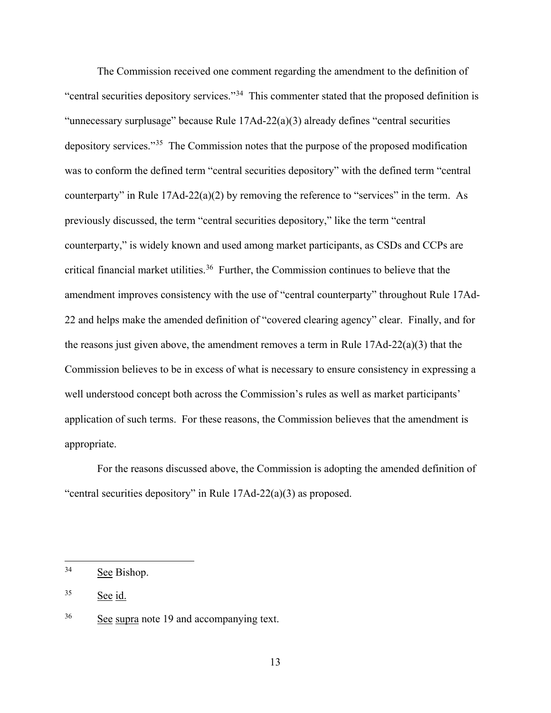The Commission received one comment regarding the amendment to the definition of "central securities depository services."[34](#page-12-0) This commenter stated that the proposed definition is "unnecessary surplusage" because Rule 17Ad-22(a)(3) already defines "central securities depository services."[35](#page-12-1) The Commission notes that the purpose of the proposed modification was to conform the defined term "central securities depository" with the defined term "central counterparty" in Rule  $17Ad-22(a)(2)$  by removing the reference to "services" in the term. As previously discussed, the term "central securities depository," like the term "central counterparty," is widely known and used among market participants, as CSDs and CCPs are critical financial market utilities.<sup>[36](#page-12-2)</sup> Further, the Commission continues to believe that the amendment improves consistency with the use of "central counterparty" throughout Rule 17Ad-22 and helps make the amended definition of "covered clearing agency" clear. Finally, and for the reasons just given above, the amendment removes a term in Rule  $17Ad-22(a)(3)$  that the Commission believes to be in excess of what is necessary to ensure consistency in expressing a well understood concept both across the Commission's rules as well as market participants' application of such terms. For these reasons, the Commission believes that the amendment is appropriate.

For the reasons discussed above, the Commission is adopting the amended definition of "central securities depository" in Rule 17Ad-22(a)(3) as proposed.

<span id="page-12-0"></span> <sup>34</sup> See Bishop.

<span id="page-12-1"></span><sup>35</sup> See id.

<span id="page-12-2"></span><sup>&</sup>lt;sup>36</sup> See supra note [19](#page-7-3) and accompanying text.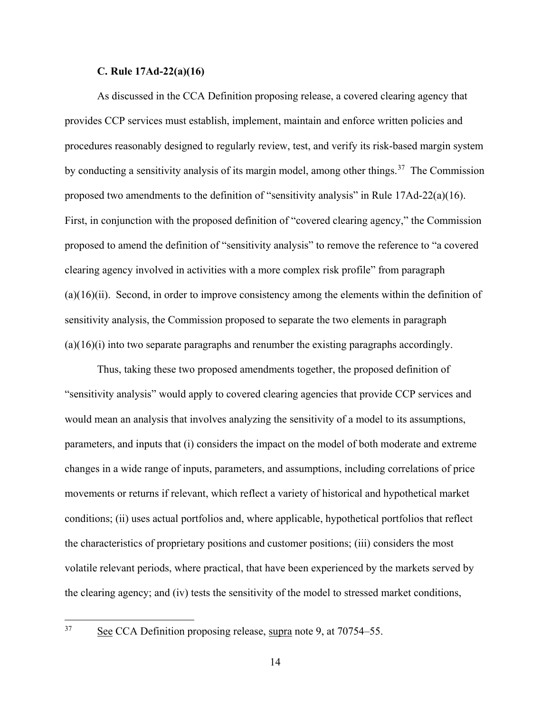# **C. Rule 17Ad-22(a)(16)**

<span id="page-13-0"></span>As discussed in the CCA Definition proposing release, a covered clearing agency that provides CCP services must establish, implement, maintain and enforce written policies and procedures reasonably designed to regularly review, test, and verify its risk-based margin system by conducting a sensitivity analysis of its margin model, among other things.<sup>[37](#page-13-1)</sup> The Commission proposed two amendments to the definition of "sensitivity analysis" in Rule  $17Ad-22(a)(16)$ . First, in conjunction with the proposed definition of "covered clearing agency," the Commission proposed to amend the definition of "sensitivity analysis" to remove the reference to "a covered clearing agency involved in activities with a more complex risk profile" from paragraph  $(a)(16)(ii)$ . Second, in order to improve consistency among the elements within the definition of sensitivity analysis, the Commission proposed to separate the two elements in paragraph  $(a)(16)(i)$  into two separate paragraphs and renumber the existing paragraphs accordingly.

Thus, taking these two proposed amendments together, the proposed definition of "sensitivity analysis" would apply to covered clearing agencies that provide CCP services and would mean an analysis that involves analyzing the sensitivity of a model to its assumptions, parameters, and inputs that (i) considers the impact on the model of both moderate and extreme changes in a wide range of inputs, parameters, and assumptions, including correlations of price movements or returns if relevant, which reflect a variety of historical and hypothetical market conditions; (ii) uses actual portfolios and, where applicable, hypothetical portfolios that reflect the characteristics of proprietary positions and customer positions; (iii) considers the most volatile relevant periods, where practical, that have been experienced by the markets served by the clearing agency; and (iv) tests the sensitivity of the model to stressed market conditions,

<span id="page-13-1"></span> <sup>37</sup> See CCA Definition proposing release, supra note [9,](#page-3-6) at 70754–55.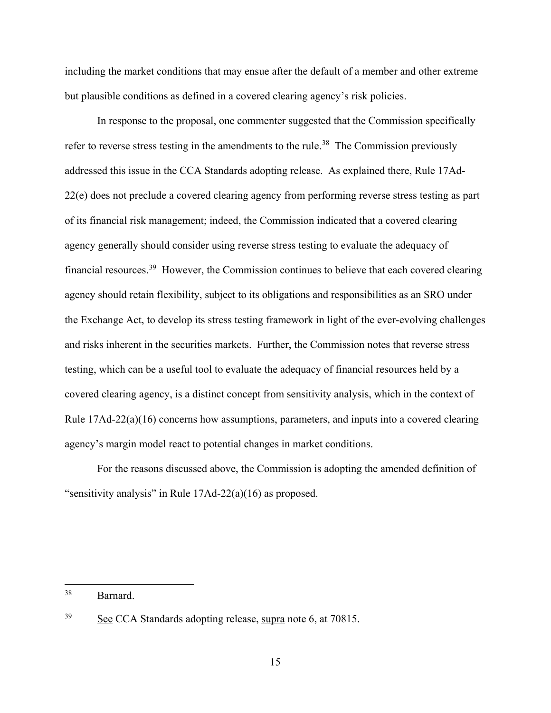including the market conditions that may ensue after the default of a member and other extreme but plausible conditions as defined in a covered clearing agency's risk policies.

In response to the proposal, one commenter suggested that the Commission specifically refer to reverse stress testing in the amendments to the rule.<sup>[38](#page-14-0)</sup> The Commission previously addressed this issue in the CCA Standards adopting release. As explained there, Rule 17Ad-22(e) does not preclude a covered clearing agency from performing reverse stress testing as part of its financial risk management; indeed, the Commission indicated that a covered clearing agency generally should consider using reverse stress testing to evaluate the adequacy of financial resources.[39](#page-14-1) However, the Commission continues to believe that each covered clearing agency should retain flexibility, subject to its obligations and responsibilities as an SRO under the Exchange Act, to develop its stress testing framework in light of the ever-evolving challenges and risks inherent in the securities markets. Further, the Commission notes that reverse stress testing, which can be a useful tool to evaluate the adequacy of financial resources held by a covered clearing agency, is a distinct concept from sensitivity analysis, which in the context of Rule 17Ad-22(a)(16) concerns how assumptions, parameters, and inputs into a covered clearing agency's margin model react to potential changes in market conditions.

For the reasons discussed above, the Commission is adopting the amended definition of "sensitivity analysis" in Rule 17Ad-22(a)(16) as proposed.

<span id="page-14-0"></span> <sup>38</sup> Barnard.

<span id="page-14-1"></span><sup>&</sup>lt;sup>39</sup> See CCA Standards adopting release, supra note [6,](#page-3-0) at 70815.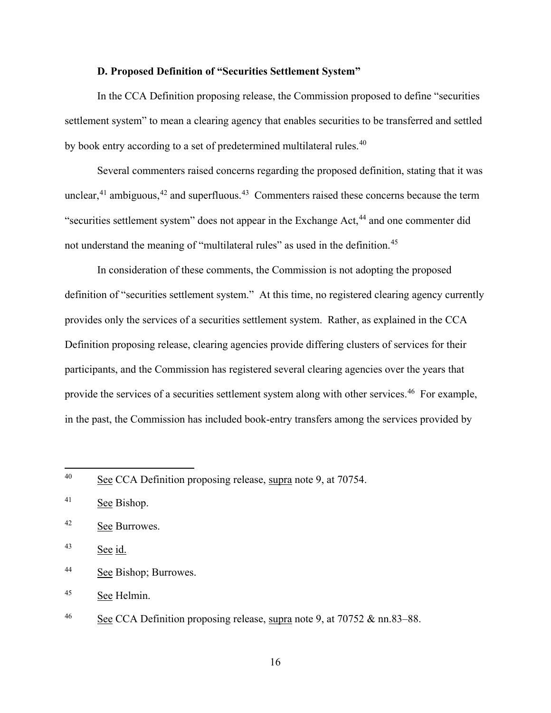## **D. Proposed Definition of "Securities Settlement System"**

<span id="page-15-0"></span>In the CCA Definition proposing release, the Commission proposed to define "securities settlement system" to mean a clearing agency that enables securities to be transferred and settled by book entry according to a set of predetermined multilateral rules.<sup>[40](#page-15-1)</sup>

Several commenters raised concerns regarding the proposed definition, stating that it was unclear,  $41$  ambiguous,  $42$  and superfluous.  $43$  Commenters raised these concerns because the term "securities settlement system" does not appear in the Exchange Act,<sup>[44](#page-15-5)</sup> and one commenter did not understand the meaning of "multilateral rules" as used in the definition.<sup>45</sup>

In consideration of these comments, the Commission is not adopting the proposed definition of "securities settlement system." At this time, no registered clearing agency currently provides only the services of a securities settlement system. Rather, as explained in the CCA Definition proposing release, clearing agencies provide differing clusters of services for their participants, and the Commission has registered several clearing agencies over the years that provide the services of a securities settlement system along with other services.<sup>[46](#page-15-7)</sup> For example, in the past, the Commission has included book-entry transfers among the services provided by

<span id="page-15-1"></span><sup>&</sup>lt;sup>40</sup> See CCA Definition proposing release, supra note [9,](#page-3-6) at 70754.

<span id="page-15-2"></span><sup>&</sup>lt;sup>41</sup> See Bishop.

<span id="page-15-3"></span><sup>42</sup> See Burrowes.

<span id="page-15-4"></span> $43$  See id.

<span id="page-15-5"></span><sup>44</sup> See Bishop; Burrowes.

<span id="page-15-6"></span><sup>45</sup> See Helmin.

<span id="page-15-7"></span> $\frac{16}{10}$  See CCA Definition proposing release, supra note [9,](#page-3-6) at 70752 & nn.83–88.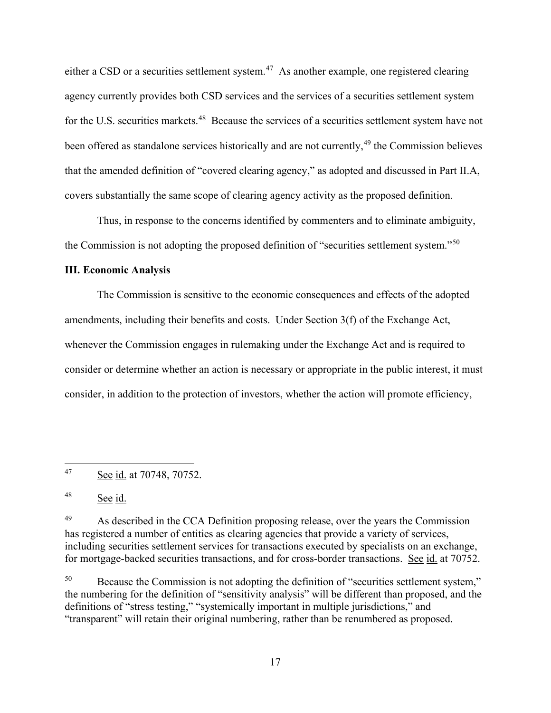either a CSD or a securities settlement system.<sup>47</sup> As another example, one registered clearing agency currently provides both CSD services and the services of a securities settlement system for the U.S. securities markets.<sup>48</sup> Because the services of a securities settlement system have not been offered as standalone services historically and are not currently,<sup>[49](#page-16-3)</sup> the Commission believes that the amended definition of "covered clearing agency," as adopted and discussed in Part [II.A,](#page-4-1) covers substantially the same scope of clearing agency activity as the proposed definition.

Thus, in response to the concerns identified by commenters and to eliminate ambiguity, the Commission is not adopting the proposed definition of "securities settlement system."[50](#page-16-4)

# <span id="page-16-0"></span>**III. Economic Analysis**

The Commission is sensitive to the economic consequences and effects of the adopted amendments, including their benefits and costs. Under Section 3(f) of the Exchange Act, whenever the Commission engages in rulemaking under the Exchange Act and is required to consider or determine whether an action is necessary or appropriate in the public interest, it must consider, in addition to the protection of investors, whether the action will promote efficiency,

<span id="page-16-4"></span><sup>50</sup> Because the Commission is not adopting the definition of "securities settlement system," the numbering for the definition of "sensitivity analysis" will be different than proposed, and the definitions of "stress testing," "systemically important in multiple jurisdictions," and "transparent" will retain their original numbering, rather than be renumbered as proposed.

<span id="page-16-1"></span> <sup>47</sup> See id. at 70748, 70752.

<span id="page-16-2"></span><sup>48</sup> See id.

<span id="page-16-3"></span><sup>&</sup>lt;sup>49</sup> As described in the CCA Definition proposing release, over the years the Commission has registered a number of entities as clearing agencies that provide a variety of services, including securities settlement services for transactions executed by specialists on an exchange, for mortgage-backed securities transactions, and for cross-border transactions. See id. at 70752.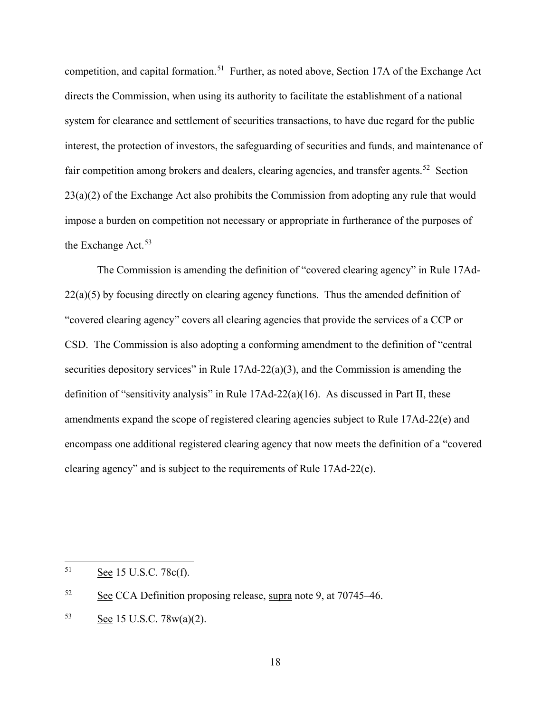competition, and capital formation.<sup>[51](#page-17-0)</sup> Further, as noted above, Section 17A of the Exchange Act directs the Commission, when using its authority to facilitate the establishment of a national system for clearance and settlement of securities transactions, to have due regard for the public interest, the protection of investors, the safeguarding of securities and funds, and maintenance of fair competition among brokers and dealers, clearing agencies, and transfer agents.<sup>[52](#page-17-1)</sup> Section 23(a)(2) of the Exchange Act also prohibits the Commission from adopting any rule that would impose a burden on competition not necessary or appropriate in furtherance of the purposes of the Exchange Act.<sup>[53](#page-17-2)</sup>

The Commission is amending the definition of "covered clearing agency" in Rule 17Ad- $22(a)(5)$  by focusing directly on clearing agency functions. Thus the amended definition of "covered clearing agency" covers all clearing agencies that provide the services of a CCP or CSD. The Commission is also adopting a conforming amendment to the definition of "central securities depository services" in Rule 17Ad-22(a)(3), and the Commission is amending the definition of "sensitivity analysis" in Rule 17Ad-22(a)(16). As discussed in Part [II,](#page-4-0) these amendments expand the scope of registered clearing agencies subject to Rule 17Ad-22(e) and encompass one additional registered clearing agency that now meets the definition of a "covered clearing agency" and is subject to the requirements of Rule 17Ad-22(e).

<span id="page-17-0"></span> <sup>51</sup> See 15 U.S.C. 78c(f).

<span id="page-17-1"></span><sup>52</sup> See CCA Definition proposing release, supra note 9, at 70745–46.

<span id="page-17-2"></span><sup>53</sup> See 15 U.S.C. 78w(a)(2).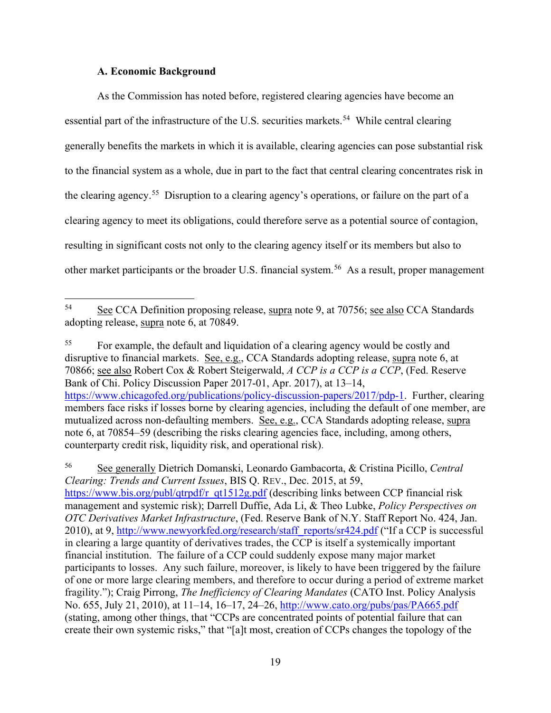# **A. Economic Background**

<span id="page-18-0"></span>As the Commission has noted before, registered clearing agencies have become an essential part of the infrastructure of the U.S. securities markets.<sup>[54](#page-18-1)</sup> While central clearing generally benefits the markets in which it is available, clearing agencies can pose substantial risk to the financial system as a whole, due in part to the fact that central clearing concentrates risk in the clearing agency.<sup>55</sup> Disruption to a clearing agency's operations, or failure on the part of a clearing agency to meet its obligations, could therefore serve as a potential source of contagion, resulting in significant costs not only to the clearing agency itself or its members but also to other market participants or the broader U.S. financial system.<sup>[56](#page-18-3)</sup> As a result, proper management

<span id="page-18-2"></span><sup>55</sup> For example, the default and liquidation of a clearing agency would be costly and disruptive to financial markets. See, e.g., CCA Standards adopting release, supra note 6, at 70866; see also Robert Cox & Robert Steigerwald, *A CCP is a CCP is a CCP*, (Fed. Reserve Bank of Chi. Policy Discussion Paper 2017-01, Apr. 2017), at 13–14, [https://www.chicagofed.org/publications/policy-discussion-papers/2017/pdp-1.](https://www.chicagofed.org/publications/policy-discussion-papers/2017/pdp-1) Further, clearing members face risks if losses borne by clearing agencies, including the default of one member, are mutualized across non-defaulting members. See, e.g., CCA Standards adopting release, supra note 6, at 70854–59 (describing the risks clearing agencies face, including, among others, counterparty credit risk, liquidity risk, and operational risk).

<span id="page-18-3"></span><sup>56</sup> See generally Dietrich Domanski, Leonardo Gambacorta, & Cristina Picillo, *Central Clearing: Trends and Current Issues*, BIS Q. REV., Dec. 2015, at 59, [https://www.bis.org/publ/qtrpdf/r\\_qt1512g.pdf](https://www.bis.org/publ/qtrpdf/r_qt1512g.pdf) (describing links between CCP financial risk management and systemic risk); Darrell Duffie, Ada Li, & Theo Lubke, *Policy Perspectives on OTC Derivatives Market Infrastructure*, (Fed. Reserve Bank of N.Y. Staff Report No. 424, Jan. 2010), at 9, [http://www.newyorkfed.org/research/staff\\_reports/sr424.pdf](http://www.newyorkfed.org/research/staff_reports/sr424.pdf) ("If a CCP is successful in clearing a large quantity of derivatives trades, the CCP is itself a systemically important financial institution. The failure of a CCP could suddenly expose many major market participants to losses. Any such failure, moreover, is likely to have been triggered by the failure of one or more large clearing members, and therefore to occur during a period of extreme market fragility."); Craig Pirrong, *The Inefficiency of Clearing Mandates* (CATO Inst. Policy Analysis No. 655, July 21, 2010), at 11–14, 16–17, 24–26,<http://www.cato.org/pubs/pas/PA665.pdf> (stating, among other things, that "CCPs are concentrated points of potential failure that can create their own systemic risks," that "[a]t most, creation of CCPs changes the topology of the

<span id="page-18-1"></span> <sup>54</sup> See CCA Definition proposing release, supra note 9, at 70756; see also CCA Standards adopting release, supra note 6, at 70849.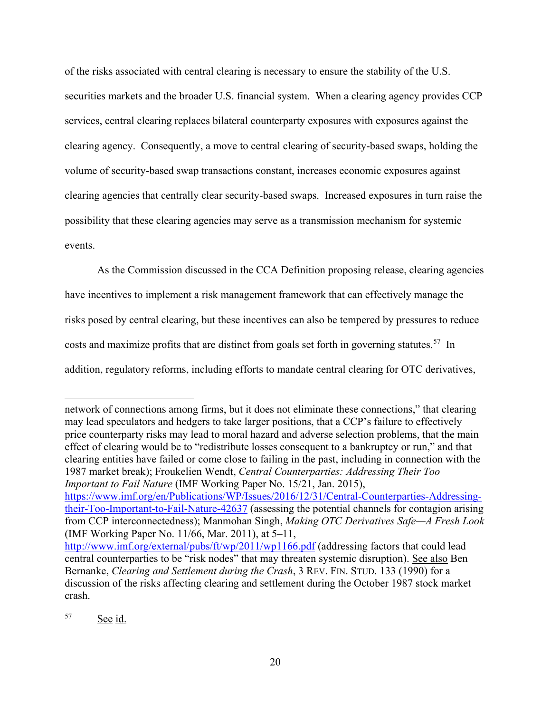of the risks associated with central clearing is necessary to ensure the stability of the U.S. securities markets and the broader U.S. financial system. When a clearing agency provides CCP services, central clearing replaces bilateral counterparty exposures with exposures against the clearing agency. Consequently, a move to central clearing of security-based swaps, holding the volume of security-based swap transactions constant, increases economic exposures against clearing agencies that centrally clear security-based swaps. Increased exposures in turn raise the possibility that these clearing agencies may serve as a transmission mechanism for systemic events.

As the Commission discussed in the CCA Definition proposing release, clearing agencies have incentives to implement a risk management framework that can effectively manage the risks posed by central clearing, but these incentives can also be tempered by pressures to reduce costs and maximize profits that are distinct from goals set forth in governing statutes.<sup>57</sup> In addition, regulatory reforms, including efforts to mandate central clearing for OTC derivatives,

network of connections among firms, but it does not eliminate these connections," that clearing may lead speculators and hedgers to take larger positions, that a CCP's failure to effectively price counterparty risks may lead to moral hazard and adverse selection problems, that the main effect of clearing would be to "redistribute losses consequent to a bankruptcy or run," and that clearing entities have failed or come close to failing in the past, including in connection with the 1987 market break); Froukelien Wendt, *Central Counterparties: Addressing Their Too Important to Fail Nature* (IMF Working Paper No. 15/21, Jan. 2015), [https://www.imf.org/en/Publications/WP/Issues/2016/12/31/Central-Counterparties-Addressing](https://www.imf.org/en/Publications/WP/Issues/2016/12/31/Central-Counterparties-Addressing-their-Too-Important-to-Fail-Nature-42637)[their-Too-Important-to-Fail-Nature-42637](https://www.imf.org/en/Publications/WP/Issues/2016/12/31/Central-Counterparties-Addressing-their-Too-Important-to-Fail-Nature-42637) (assessing the potential channels for contagion arising from CCP interconnectedness); Manmohan Singh, *Making OTC Derivatives Safe—A Fresh Look* (IMF Working Paper No. 11/66, Mar. 2011), at 5–11, <http://www.imf.org/external/pubs/ft/wp/2011/wp1166.pdf> (addressing factors that could lead central counterparties to be "risk nodes" that may threaten systemic disruption). See also Ben Bernanke, *Clearing and Settlement during the Crash*, 3 REV. FIN. STUD. 133 (1990) for a discussion of the risks affecting clearing and settlement during the October 1987 stock market crash.

<span id="page-19-0"></span><sup>57</sup> See id.

 $\overline{a}$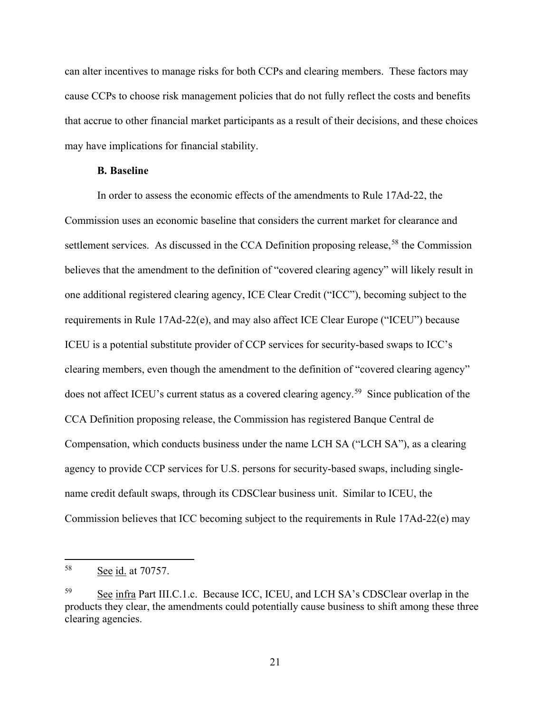can alter incentives to manage risks for both CCPs and clearing members. These factors may cause CCPs to choose risk management policies that do not fully reflect the costs and benefits that accrue to other financial market participants as a result of their decisions, and these choices may have implications for financial stability.

# **B. Baseline**

<span id="page-20-0"></span>In order to assess the economic effects of the amendments to Rule 17Ad-22, the Commission uses an economic baseline that considers the current market for clearance and settlement services. As discussed in the CCA Definition proposing release,<sup>[58](#page-20-1)</sup> the Commission believes that the amendment to the definition of "covered clearing agency" will likely result in one additional registered clearing agency, ICE Clear Credit ("ICC"), becoming subject to the requirements in Rule 17Ad-22(e), and may also affect ICE Clear Europe ("ICEU") because ICEU is a potential substitute provider of CCP services for security-based swaps to ICC's clearing members, even though the amendment to the definition of "covered clearing agency" does not affect ICEU's current status as a covered clearing agency.<sup>[59](#page-20-2)</sup> Since publication of the CCA Definition proposing release, the Commission has registered Banque Central de Compensation, which conducts business under the name LCH SA ("LCH SA"), as a clearing agency to provide CCP services for U.S. persons for security-based swaps, including singlename credit default swaps, through its CDSClear business unit. Similar to ICEU, the Commission believes that ICC becoming subject to the requirements in Rule 17Ad-22(e) may

<span id="page-20-3"></span><span id="page-20-1"></span> <sup>58</sup> See id. at 70757.

<span id="page-20-2"></span><sup>59</sup> See infra Part [III.C.1.c.](#page-38-0) Because ICC, ICEU, and LCH SA's CDSClear overlap in the products they clear, the amendments could potentially cause business to shift among these three clearing agencies.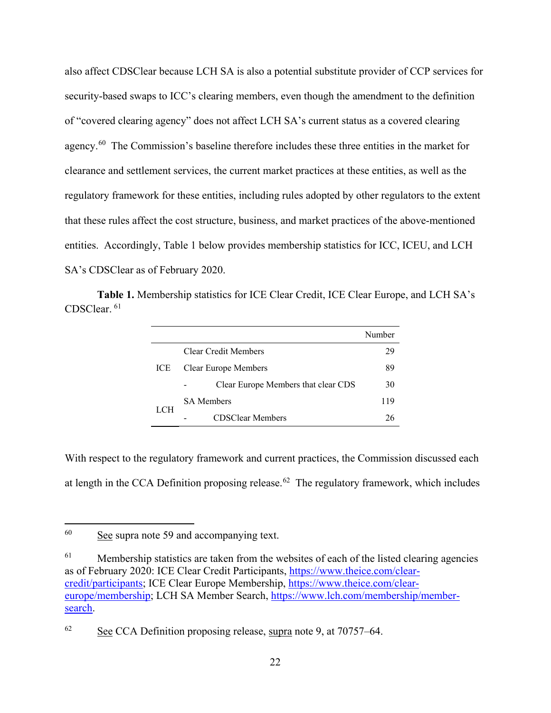also affect CDSClear because LCH SA is also a potential substitute provider of CCP services for security-based swaps to ICC's clearing members, even though the amendment to the definition of "covered clearing agency" does not affect LCH SA's current status as a covered clearing agency.<sup>[60](#page-21-0)</sup> The Commission's baseline therefore includes these three entities in the market for clearance and settlement services, the current market practices at these entities, as well as the regulatory framework for these entities, including rules adopted by other regulators to the extent that these rules affect the cost structure, business, and market practices of the above-mentioned entities. Accordingly, Table 1 below provides membership statistics for ICC, ICEU, and LCH SA's CDSClear as of February 2020.

**Table 1.** Membership statistics for ICE Clear Credit, ICE Clear Europe, and LCH SA's CDSClear. [61](#page-21-1)

|      |                                     | Numher |
|------|-------------------------------------|--------|
| ICE. | Clear Credit Members                |        |
|      | <b>Clear Europe Members</b>         |        |
|      | Clear Europe Members that clear CDS |        |
|      | <b>SA Members</b>                   |        |
|      | <b>CDSClear Members</b>             |        |

With respect to the regulatory framework and current practices, the Commission discussed each at length in the CCA Definition proposing release.<sup>62</sup> The regulatory framework, which includes

<span id="page-21-0"></span> $60$  See supra note [59](#page-20-3) and accompanying text.

<span id="page-21-1"></span> $61$  Membership statistics are taken from the websites of each of the listed clearing agencies as of February 2020: ICE Clear Credit Participants, [https://www.theice.com/clear](https://www.theice.com/clear-credit/participants)[credit/participants;](https://www.theice.com/clear-credit/participants) ICE Clear Europe Membership, [https://www.theice.com/clear](https://www.theice.com/clear-europe/membership)[europe/membership;](https://www.theice.com/clear-europe/membership) LCH SA Member Search, [https://www.lch.com/membership/member](https://www.lch.com/membership/member-search)[search.](https://www.lch.com/membership/member-search)

<span id="page-21-2"></span> $62 \text{ See CCA Definition proposing release, supra note 9, at } 70757-64.$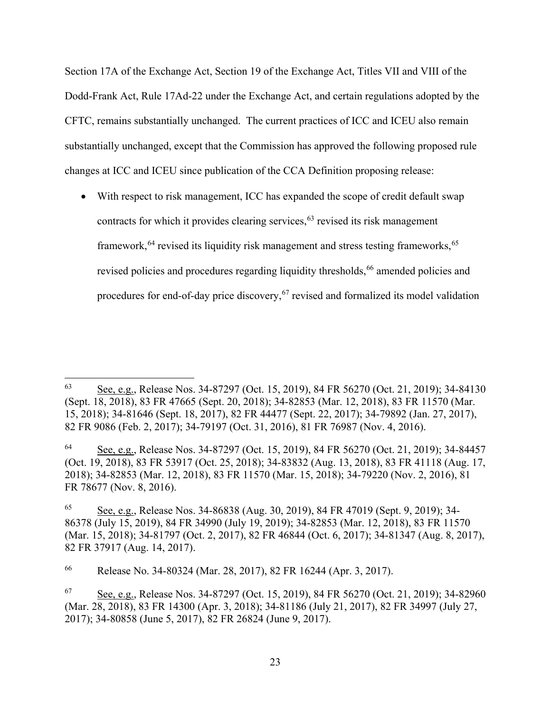Section 17A of the Exchange Act, Section 19 of the Exchange Act, Titles VII and VIII of the Dodd-Frank Act, Rule 17Ad-22 under the Exchange Act, and certain regulations adopted by the CFTC, remains substantially unchanged. The current practices of ICC and ICEU also remain substantially unchanged, except that the Commission has approved the following proposed rule changes at ICC and ICEU since publication of the CCA Definition proposing release:

• With respect to risk management, ICC has expanded the scope of credit default swap contracts for which it provides clearing services,  $63$  revised its risk management framework, <sup>[64](#page-22-1)</sup> revised its liquidity risk management and stress testing frameworks, <sup>[65](#page-22-2)</sup> revised policies and procedures regarding liquidity thresholds, [66](#page-22-3) amended policies and procedures for end-of-day price discovery, <sup>[67](#page-22-4)</sup> revised and formalized its model validation

<span id="page-22-0"></span> <sup>63</sup> See, e.g., Release Nos. 34-87297 (Oct. 15, 2019), 84 FR 56270 (Oct. 21, 2019); 34-84130 (Sept. 18, 2018), 83 FR 47665 (Sept. 20, 2018); 34-82853 (Mar. 12, 2018), 83 FR 11570 (Mar. 15, 2018); 34-81646 (Sept. 18, 2017), 82 FR 44477 (Sept. 22, 2017); 34-79892 (Jan. 27, 2017), 82 FR 9086 (Feb. 2, 2017); 34-79197 (Oct. 31, 2016), 81 FR 76987 (Nov. 4, 2016).

<span id="page-22-1"></span><sup>64</sup> See, e.g., Release Nos. 34-87297 (Oct. 15, 2019), 84 FR 56270 (Oct. 21, 2019); 34-84457 (Oct. 19, 2018), 83 FR 53917 (Oct. 25, 2018); 34-83832 (Aug. 13, 2018), 83 FR 41118 (Aug. 17, 2018); 34-82853 (Mar. 12, 2018), 83 FR 11570 (Mar. 15, 2018); 34-79220 (Nov. 2, 2016), 81 FR 78677 (Nov. 8, 2016).

<span id="page-22-2"></span><sup>65</sup> See, e.g., Release Nos. 34-86838 (Aug. 30, 2019), 84 FR 47019 (Sept. 9, 2019); 34- 86378 (July 15, 2019), 84 FR 34990 (July 19, 2019); 34-82853 (Mar. 12, 2018), 83 FR 11570 (Mar. 15, 2018); 34-81797 (Oct. 2, 2017), 82 FR 46844 (Oct. 6, 2017); 34-81347 (Aug. 8, 2017), 82 FR 37917 (Aug. 14, 2017).

<span id="page-22-3"></span><sup>66</sup> Release No. 34-80324 (Mar. 28, 2017), 82 FR 16244 (Apr. 3, 2017).

<span id="page-22-4"></span><sup>67</sup> See, e.g., Release Nos. 34-87297 (Oct. 15, 2019), 84 FR 56270 (Oct. 21, 2019); 34-82960 (Mar. 28, 2018), 83 FR 14300 (Apr. 3, 2018); 34-81186 (July 21, 2017), 82 FR 34997 (July 27, 2017); 34-80858 (June 5, 2017), 82 FR 26824 (June 9, 2017).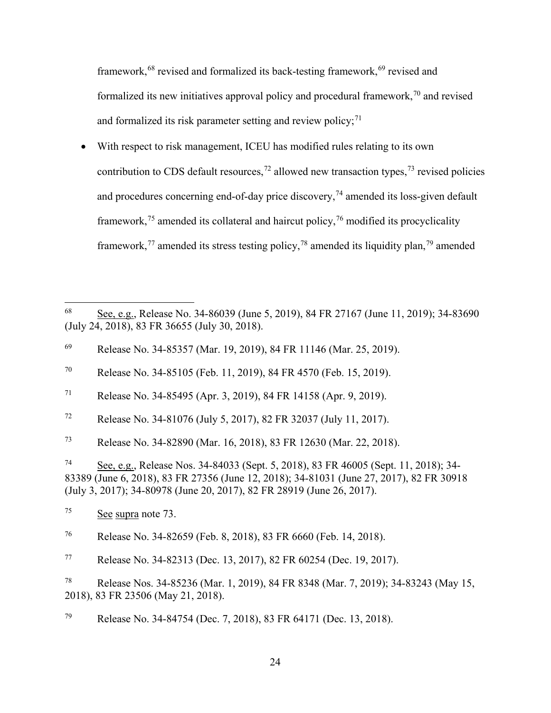<span id="page-23-0"></span>framework,<sup>[68](#page-23-1)</sup> revised and formalized its back-testing framework,<sup>[69](#page-23-2)</sup> revised and formalized its new initiatives approval policy and procedural framework, $\frac{70}{3}$  $\frac{70}{3}$  $\frac{70}{3}$  and revised and formalized its risk parameter setting and review policy; $71$ 

• With respect to risk management, ICEU has modified rules relating to its own contribution to CDS default resources,<sup>[72](#page-23-5)</sup> allowed new transaction types,<sup>[73](#page-23-6)</sup> revised policies and procedures concerning end-of-day price discovery,  $^{74}$  $^{74}$  $^{74}$  amended its loss-given default framework,<sup>[75](#page-23-8)</sup> amended its collateral and haircut policy,<sup>[76](#page-23-9)</sup> modified its procyclicality framework,<sup>[77](#page-23-10)</sup> amended its stress testing policy,<sup>[78](#page-23-11)</sup> amended its liquidity plan,<sup>[79](#page-23-12)</sup> amended

<span id="page-23-5"></span><sup>72</sup> Release No. 34-81076 (July 5, 2017), 82 FR 32037 (July 11, 2017).

<span id="page-23-6"></span><sup>73</sup> Release No. 34-82890 (Mar. 16, 2018), 83 FR 12630 (Mar. 22, 2018).

<span id="page-23-7"></span><sup>74</sup> See, e.g., Release Nos. 34-84033 (Sept. 5, 2018), 83 FR 46005 (Sept. 11, 2018); 34- 83389 (June 6, 2018), 83 FR 27356 (June 12, 2018); 34-81031 (June 27, 2017), 82 FR 30918 (July 3, 2017); 34-80978 (June 20, 2017), 82 FR 28919 (June 26, 2017).

<span id="page-23-1"></span> <sup>68</sup> See, e.g., Release No. 34-86039 (June 5, 2019), 84 FR 27167 (June 11, 2019); 34-83690 (July 24, 2018), 83 FR 36655 (July 30, 2018).

<span id="page-23-2"></span><sup>69</sup> Release No. 34-85357 (Mar. 19, 2019), 84 FR 11146 (Mar. 25, 2019).

<span id="page-23-3"></span><sup>70</sup> Release No. 34-85105 (Feb. 11, 2019), 84 FR 4570 (Feb. 15, 2019).

<span id="page-23-4"></span><sup>71</sup> Release No. 34-85495 (Apr. 3, 2019), 84 FR 14158 (Apr. 9, 2019).

<span id="page-23-8"></span> $\frac{\text{See} \text{ supra}}{23}$ .

<span id="page-23-9"></span><sup>76</sup> Release No. 34-82659 (Feb. 8, 2018), 83 FR 6660 (Feb. 14, 2018).

<span id="page-23-10"></span><sup>77</sup> Release No. 34-82313 (Dec. 13, 2017), 82 FR 60254 (Dec. 19, 2017).

<span id="page-23-11"></span><sup>78</sup> Release Nos. 34-85236 (Mar. 1, 2019), 84 FR 8348 (Mar. 7, 2019); 34-83243 (May 15, 2018), 83 FR 23506 (May 21, 2018).

<span id="page-23-12"></span><sup>79</sup> Release No. 34-84754 (Dec. 7, 2018), 83 FR 64171 (Dec. 13, 2018).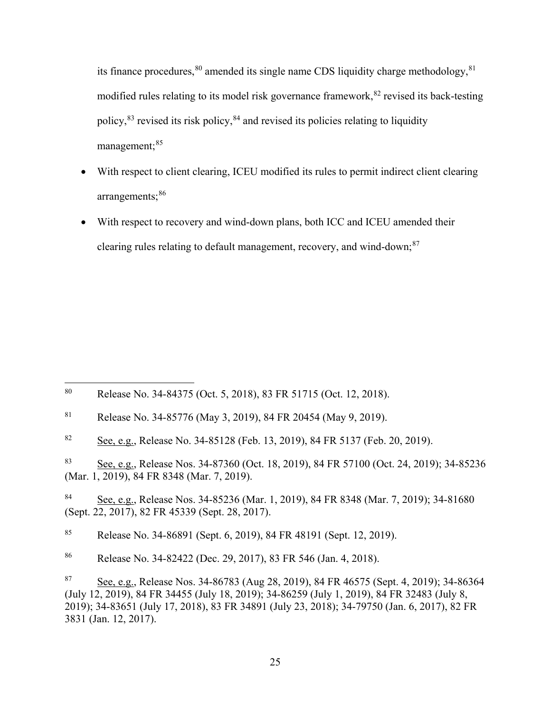its finance procedures,  $80$  amended its single name CDS liquidity charge methodology,  $81$ modified rules relating to its model risk governance framework, [82](#page-24-2) revised its back-testing policy,<sup>[83](#page-24-3)</sup> revised its risk policy,<sup>[84](#page-24-4)</sup> and revised its policies relating to liquidity management:<sup>[85](#page-24-5)</sup>

- With respect to client clearing, ICEU modified its rules to permit indirect client clearing arrangements;<sup>[86](#page-24-6)</sup>
- With respect to recovery and wind-down plans, both ICC and ICEU amended their clearing rules relating to default management, recovery, and wind-down;<sup>[87](#page-24-7)</sup>

<span id="page-24-0"></span> <sup>80</sup> Release No. 34-84375 (Oct. 5, 2018), 83 FR 51715 (Oct. 12, 2018).

<span id="page-24-1"></span><sup>81</sup> Release No. 34-85776 (May 3, 2019), 84 FR 20454 (May 9, 2019).

<span id="page-24-2"></span><sup>&</sup>lt;sup>82</sup> See, e.g., Release No. 34-85128 (Feb. 13, 2019), 84 FR 5137 (Feb. 20, 2019).

<span id="page-24-3"></span><sup>83</sup> See, e.g., Release Nos. 34-87360 (Oct. 18, 2019), 84 FR 57100 (Oct. 24, 2019); 34-85236 (Mar. 1, 2019), 84 FR 8348 (Mar. 7, 2019).

<span id="page-24-4"></span><sup>84</sup> See, e.g., Release Nos. 34-85236 (Mar. 1, 2019), 84 FR 8348 (Mar. 7, 2019); 34-81680 (Sept. 22, 2017), 82 FR 45339 (Sept. 28, 2017).

<span id="page-24-5"></span><sup>85</sup> Release No. 34-86891 (Sept. 6, 2019), 84 FR 48191 (Sept. 12, 2019).

<span id="page-24-6"></span><sup>86</sup> Release No. 34-82422 (Dec. 29, 2017), 83 FR 546 (Jan. 4, 2018).

<span id="page-24-7"></span><sup>87</sup> See, e.g., Release Nos. 34-86783 (Aug 28, 2019), 84 FR 46575 (Sept. 4, 2019); 34-86364 (July 12, 2019), 84 FR 34455 (July 18, 2019); 34-86259 (July 1, 2019), 84 FR 32483 (July 8, 2019); 34-83651 (July 17, 2018), 83 FR 34891 (July 23, 2018); 34-79750 (Jan. 6, 2017), 82 FR 3831 (Jan. 12, 2017).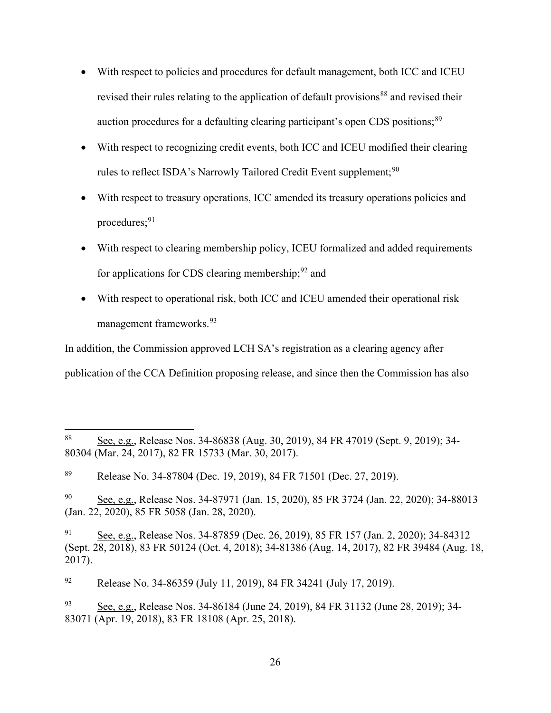- With respect to policies and procedures for default management, both ICC and ICEU revised their rules relating to the application of default provisions<sup>[88](#page-25-0)</sup> and revised their auction procedures for a defaulting clearing participant's open CDS positions;<sup>[89](#page-25-1)</sup>
- With respect to recognizing credit events, both ICC and ICEU modified their clearing rules to reflect ISDA's Narrowly Tailored Credit Event supplement;<sup>[90](#page-25-2)</sup>
- With respect to treasury operations, ICC amended its treasury operations policies and procedures; $91$
- With respect to clearing membership policy, ICEU formalized and added requirements for applications for CDS clearing membership;  $92$  and
- With respect to operational risk, both ICC and ICEU amended their operational risk management frameworks. [93](#page-25-5)

In addition, the Commission approved LCH SA's registration as a clearing agency after publication of the CCA Definition proposing release, and since then the Commission has also

<span id="page-25-2"></span><sup>90</sup> See, e.g., Release Nos. 34-87971 (Jan. 15, 2020), 85 FR 3724 (Jan. 22, 2020); 34-88013 (Jan. 22, 2020), 85 FR 5058 (Jan. 28, 2020).

<span id="page-25-0"></span><sup>88</sup> See, e.g., Release Nos. 34-86838 (Aug. 30, 2019), 84 FR 47019 (Sept. 9, 2019); 34-80304 (Mar. 24, 2017), 82 FR 15733 (Mar. 30, 2017).

<span id="page-25-1"></span><sup>89</sup> Release No. 34-87804 (Dec. 19, 2019), 84 FR 71501 (Dec. 27, 2019).

<span id="page-25-3"></span><sup>91</sup> See, e.g., Release Nos. 34-87859 (Dec. 26, 2019), 85 FR 157 (Jan. 2, 2020); 34-84312 (Sept. 28, 2018), 83 FR 50124 (Oct. 4, 2018); 34-81386 (Aug. 14, 2017), 82 FR 39484 (Aug. 18, 2017).

<span id="page-25-4"></span><sup>92</sup> Release No. 34-86359 (July 11, 2019), 84 FR 34241 (July 17, 2019).

<span id="page-25-5"></span><sup>93</sup> See, e.g., Release Nos. 34-86184 (June 24, 2019), 84 FR 31132 (June 28, 2019); 34- 83071 (Apr. 19, 2018), 83 FR 18108 (Apr. 25, 2018).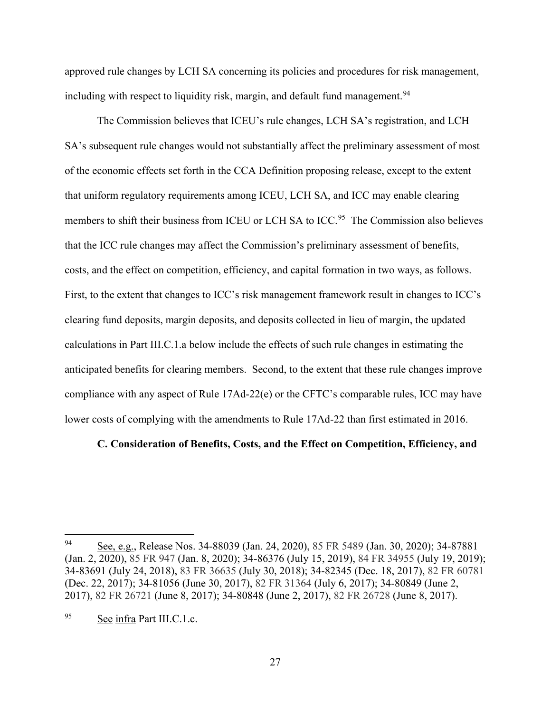approved rule changes by LCH SA concerning its policies and procedures for risk management, including with respect to liquidity risk, margin, and default fund management.<sup>[94](#page-26-1)</sup>

The Commission believes that ICEU's rule changes, LCH SA's registration, and LCH SA's subsequent rule changes would not substantially affect the preliminary assessment of most of the economic effects set forth in the CCA Definition proposing release, except to the extent that uniform regulatory requirements among ICEU, LCH SA, and ICC may enable clearing members to shift their business from ICEU or LCH SA to ICC.<sup>95</sup> The Commission also believes that the ICC rule changes may affect the Commission's preliminary assessment of benefits, costs, and the effect on competition, efficiency, and capital formation in two ways, as follows. First, to the extent that changes to ICC's risk management framework result in changes to ICC's clearing fund deposits, margin deposits, and deposits collected in lieu of margin, the updated calculations in Part [III.C.1.a](#page-28-0) below include the effects of such rule changes in estimating the anticipated benefits for clearing members. Second, to the extent that these rule changes improve compliance with any aspect of Rule 17Ad-22(e) or the CFTC's comparable rules, ICC may have lower costs of complying with the amendments to Rule 17Ad-22 than first estimated in 2016.

# <span id="page-26-0"></span>**C. Consideration of Benefits, Costs, and the Effect on Competition, Efficiency, and**

<span id="page-26-1"></span> <sup>94</sup> See, e.g., Release Nos. 34-88039 (Jan. 24, 2020), 85 FR 5489 (Jan. 30, 2020); 34-87881 (Jan. 2, 2020), 85 FR 947 (Jan. 8, 2020); 34-86376 (July 15, 2019), 84 FR 34955 (July 19, 2019); 34-83691 (July 24, 2018), 83 FR 36635 (July 30, 2018); 34-82345 (Dec. 18, 2017), 82 FR 60781 (Dec. 22, 2017); 34-81056 (June 30, 2017), 82 FR 31364 (July 6, 2017); 34-80849 (June 2, 2017), 82 FR 26721 (June 8, 2017); 34-80848 (June 2, 2017), 82 FR 26728 (June 8, 2017).

<span id="page-26-2"></span><sup>95</sup> See infra Part [III.C.1.c.](#page-38-0)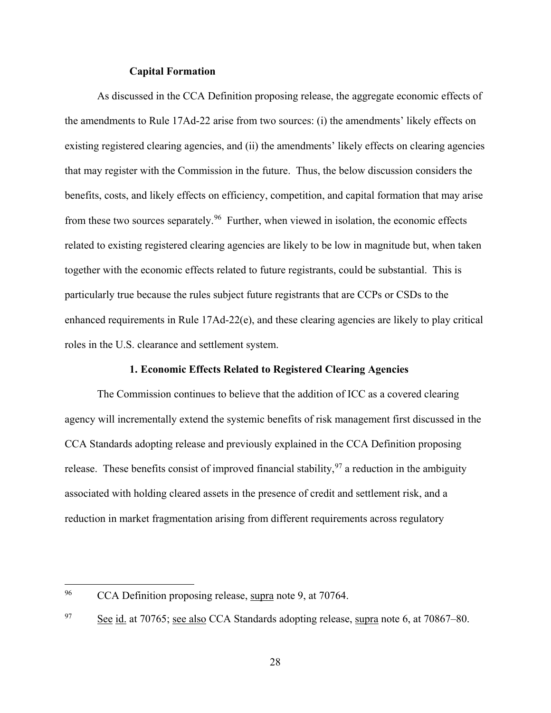# **Capital Formation**

As discussed in the CCA Definition proposing release, the aggregate economic effects of the amendments to Rule 17Ad-22 arise from two sources: (i) the amendments' likely effects on existing registered clearing agencies, and (ii) the amendments' likely effects on clearing agencies that may register with the Commission in the future. Thus, the below discussion considers the benefits, costs, and likely effects on efficiency, competition, and capital formation that may arise from these two sources separately.<sup>[96](#page-27-0)</sup> Further, when viewed in isolation, the economic effects related to existing registered clearing agencies are likely to be low in magnitude but, when taken together with the economic effects related to future registrants, could be substantial. This is particularly true because the rules subject future registrants that are CCPs or CSDs to the enhanced requirements in Rule 17Ad-22(e), and these clearing agencies are likely to play critical roles in the U.S. clearance and settlement system.

# **1. Economic Effects Related to Registered Clearing Agencies**

The Commission continues to believe that the addition of ICC as a covered clearing agency will incrementally extend the systemic benefits of risk management first discussed in the CCA Standards adopting release and previously explained in the CCA Definition proposing release. These benefits consist of improved financial stability,  $97$  a reduction in the ambiguity associated with holding cleared assets in the presence of credit and settlement risk, and a reduction in market fragmentation arising from different requirements across regulatory

<span id="page-27-0"></span><sup>&</sup>lt;sup>96</sup> CCA Definition proposing release, supra note [9,](#page-3-6) at 70764.

<span id="page-27-1"></span> $\frac{97}{2}$  See id. at 70765; see also CCA Standards adopting release, supra note [6,](#page-3-0) at 70867–80.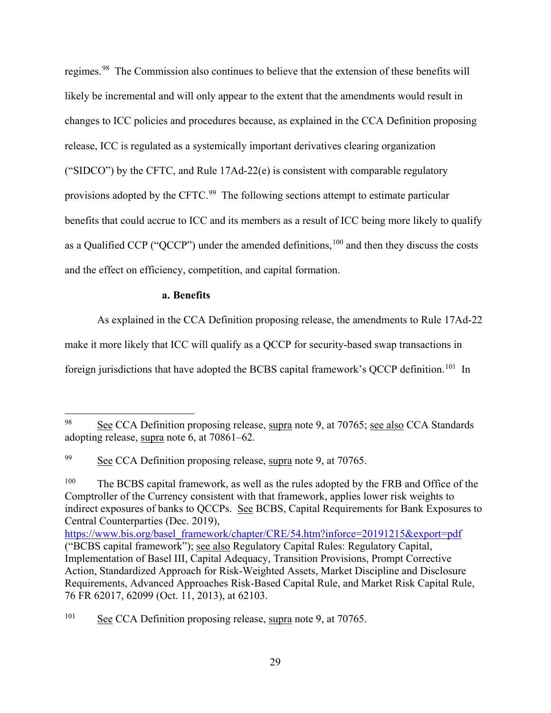regimes.[98](#page-28-1) The Commission also continues to believe that the extension of these benefits will likely be incremental and will only appear to the extent that the amendments would result in changes to ICC policies and procedures because, as explained in the CCA Definition proposing release, ICC is regulated as a systemically important derivatives clearing organization ("SIDCO") by the CFTC, and Rule 17Ad-22(e) is consistent with comparable regulatory provisions adopted by the CFTC.<sup>[99](#page-28-2)</sup> The following sections attempt to estimate particular benefits that could accrue to ICC and its members as a result of ICC being more likely to qualify as a Qualified CCP ("QCCP") under the amended definitions,  $100$  and then they discuss the costs and the effect on efficiency, competition, and capital formation.

# <span id="page-28-5"></span>**a. Benefits**

<span id="page-28-0"></span>As explained in the CCA Definition proposing release, the amendments to Rule 17Ad-22

make it more likely that ICC will qualify as a QCCP for security-based swap transactions in

foreign jurisdictions that have adopted the BCBS capital framework's OCCP definition.<sup>[101](#page-28-4)</sup> In

<span id="page-28-4"></span> $101$  See CCA Definition proposing release, supra note [9,](#page-3-6) at 70765.

<span id="page-28-1"></span> <sup>98</sup> See CCA Definition proposing release, supra note [9,](#page-3-6) at 70765; see also CCA Standards adopting release, supra note [6,](#page-3-0) at 70861–62.

<span id="page-28-2"></span><sup>&</sup>lt;sup>99</sup> See CCA Definition proposing release, supra note [9,](#page-3-6) at 70765.

<span id="page-28-3"></span><sup>&</sup>lt;sup>100</sup> The BCBS capital framework, as well as the rules adopted by the FRB and Office of the Comptroller of the Currency consistent with that framework, applies lower risk weights to indirect exposures of banks to QCCPs. See BCBS, Capital Requirements for Bank Exposures to Central Counterparties (Dec. 2019),

[https://www.bis.org/basel\\_framework/chapter/CRE/54.htm?inforce=20191215&export=pdf](https://www.bis.org/basel_framework/chapter/CRE/54.htm?inforce=20191215&export=pdf)  ("BCBS capital framework"); see also Regulatory Capital Rules: Regulatory Capital, Implementation of Basel III, Capital Adequacy, Transition Provisions, Prompt Corrective Action, Standardized Approach for Risk-Weighted Assets, Market Discipline and Disclosure Requirements, Advanced Approaches Risk-Based Capital Rule, and Market Risk Capital Rule, 76 FR 62017, 62099 (Oct. 11, 2013), at 62103.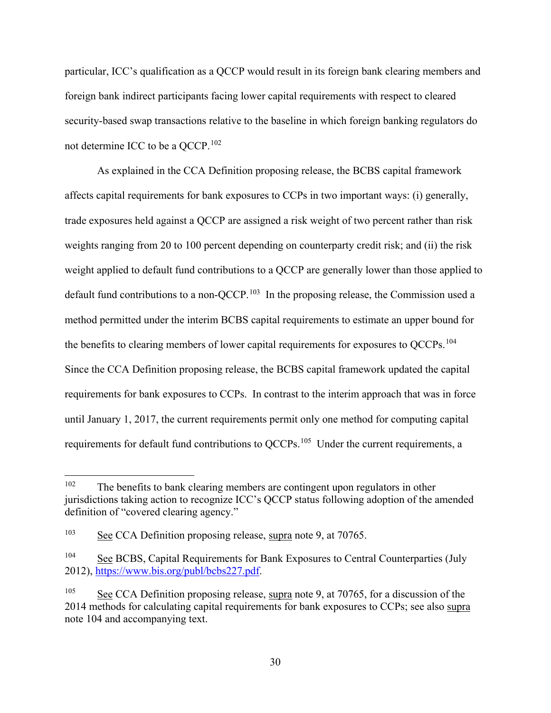particular, ICC's qualification as a QCCP would result in its foreign bank clearing members and foreign bank indirect participants facing lower capital requirements with respect to cleared security-based swap transactions relative to the baseline in which foreign banking regulators do not determine ICC to be a QCCP.<sup>[102](#page-29-1)</sup>

As explained in the CCA Definition proposing release, the BCBS capital framework affects capital requirements for bank exposures to CCPs in two important ways: (i) generally, trade exposures held against a QCCP are assigned a risk weight of two percent rather than risk weights ranging from 20 to 100 percent depending on counterparty credit risk; and (ii) the risk weight applied to default fund contributions to a QCCP are generally lower than those applied to default fund contributions to a non-QCCP.<sup>[103](#page-29-2)</sup> In the proposing release, the Commission used a method permitted under the interim BCBS capital requirements to estimate an upper bound for the benefits to clearing members of lower capital requirements for exposures to QCCPs.<sup>[104](#page-29-3)</sup> Since the CCA Definition proposing release, the BCBS capital framework updated the capital requirements for bank exposures to CCPs. In contrast to the interim approach that was in force until January 1, 2017, the current requirements permit only one method for computing capital requirements for default fund contributions to QCCPs.[105](#page-29-4) Under the current requirements, a

<span id="page-29-1"></span><span id="page-29-0"></span> $102$  The benefits to bank clearing members are contingent upon regulators in other jurisdictions taking action to recognize ICC's QCCP status following adoption of the amended definition of "covered clearing agency."

<span id="page-29-2"></span><sup>103</sup> See CCA Definition proposing release, supra note [9,](#page-3-6) at 70765.

<span id="page-29-3"></span><sup>&</sup>lt;sup>104</sup> See BCBS, Capital Requirements for Bank Exposures to Central Counterparties (July 2012), [https://www.bis.org/publ/bcbs227.pdf.](https://www.bis.org/publ/bcbs227.pdf)

<span id="page-29-4"></span><sup>&</sup>lt;sup>105</sup> See CCA Definition proposing release, supra note [9,](#page-3-6) at 70765, for a discussion of the 2014 methods for calculating capital requirements for bank exposures to CCPs; see also supra note [104](#page-29-0) and accompanying text.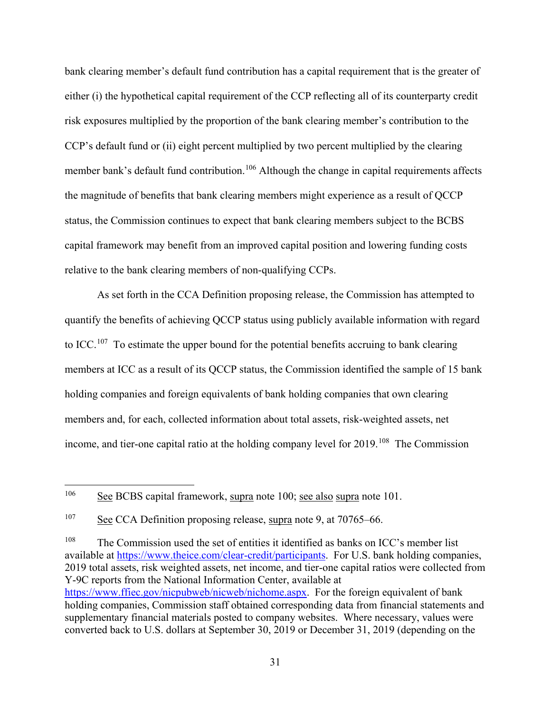bank clearing member's default fund contribution has a capital requirement that is the greater of either (i) the hypothetical capital requirement of the CCP reflecting all of its counterparty credit risk exposures multiplied by the proportion of the bank clearing member's contribution to the CCP's default fund or (ii) eight percent multiplied by two percent multiplied by the clearing member bank's default fund contribution.<sup>[106](#page-30-0)</sup> Although the change in capital requirements affects the magnitude of benefits that bank clearing members might experience as a result of QCCP status, the Commission continues to expect that bank clearing members subject to the BCBS capital framework may benefit from an improved capital position and lowering funding costs relative to the bank clearing members of non-qualifying CCPs.

As set forth in the CCA Definition proposing release, the Commission has attempted to quantify the benefits of achieving QCCP status using publicly available information with regard to ICC.<sup>107</sup> To estimate the upper bound for the potential benefits accruing to bank clearing members at ICC as a result of its QCCP status, the Commission identified the sample of 15 bank holding companies and foreign equivalents of bank holding companies that own clearing members and, for each, collected information about total assets, risk-weighted assets, net income, and tier-one capital ratio at the holding company level for 2019.<sup>[108](#page-30-2)</sup> The Commission

<span id="page-30-2"></span><sup>108</sup> The Commission used the set of entities it identified as banks on ICC's member list available at [https://www.theice.com/clear-credit/participants.](https://www.theice.com/clear-credit/participants) For U.S. bank holding companies, 2019 total assets, risk weighted assets, net income, and tier-one capital ratios were collected from Y-9C reports from the National Information Center, available at [https://www.ffiec.gov/nicpubweb/nicweb/nichome.aspx.](https://www.ffiec.gov/nicpubweb/nicweb/nichome.aspx) For the foreign equivalent of bank holding companies, Commission staff obtained corresponding data from financial statements and supplementary financial materials posted to company websites. Where necessary, values were converted back to U.S. dollars at September 30, 2019 or December 31, 2019 (depending on the

<span id="page-30-0"></span> <sup>106</sup> See BCBS capital framework, supra note [100;](#page-28-5) see also supra note 101.

<span id="page-30-1"></span> $107$  See CCA Definition proposing release, supra note [9,](#page-3-6) at 70765–66.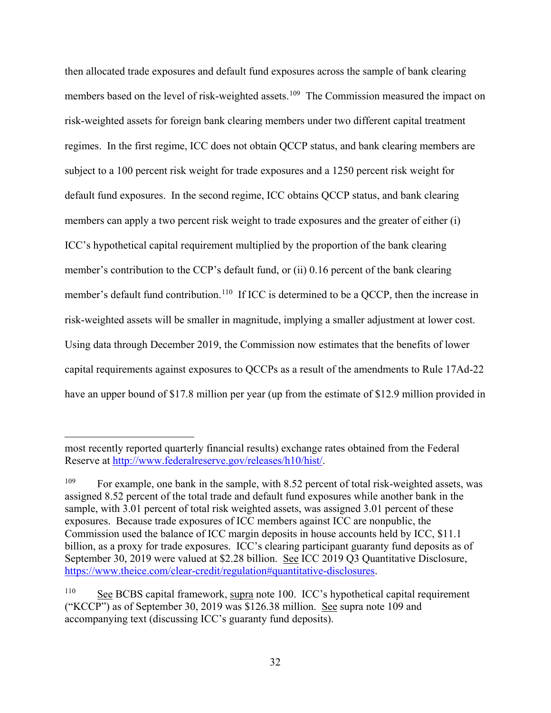<span id="page-31-0"></span>then allocated trade exposures and default fund exposures across the sample of bank clearing members based on the level of risk-weighted assets.<sup>[109](#page-31-1)</sup> The Commission measured the impact on risk-weighted assets for foreign bank clearing members under two different capital treatment regimes. In the first regime, ICC does not obtain QCCP status, and bank clearing members are subject to a 100 percent risk weight for trade exposures and a 1250 percent risk weight for default fund exposures. In the second regime, ICC obtains QCCP status, and bank clearing members can apply a two percent risk weight to trade exposures and the greater of either (i) ICC's hypothetical capital requirement multiplied by the proportion of the bank clearing member's contribution to the CCP's default fund, or (ii) 0.16 percent of the bank clearing member's default fund contribution.<sup>[110](#page-31-2)</sup> If ICC is determined to be a QCCP, then the increase in risk-weighted assets will be smaller in magnitude, implying a smaller adjustment at lower cost. Using data through December 2019, the Commission now estimates that the benefits of lower capital requirements against exposures to QCCPs as a result of the amendments to Rule 17Ad-22 have an upper bound of \$17.8 million per year (up from the estimate of \$12.9 million provided in

 $\overline{a}$ 

most recently reported quarterly financial results) exchange rates obtained from the Federal Reserve at [http://www.federalreserve.gov/releases/h10/hist/.](http://www.federalreserve.gov/releases/h10/hist/)

<span id="page-31-1"></span><sup>&</sup>lt;sup>109</sup> For example, one bank in the sample, with 8.52 percent of total risk-weighted assets, was assigned 8.52 percent of the total trade and default fund exposures while another bank in the sample, with 3.01 percent of total risk weighted assets, was assigned 3.01 percent of these exposures. Because trade exposures of ICC members against ICC are nonpublic, the Commission used the balance of ICC margin deposits in house accounts held by ICC, \$11.1 billion, as a proxy for trade exposures. ICC's clearing participant guaranty fund deposits as of September 30, 2019 were valued at \$2.28 billion. See ICC 2019 Q3 Quantitative Disclosure, [https://www.theice.com/clear-credit/regulation#quantitative-disclosures.](https://www.theice.com/clear-credit/regulation#quantitative-disclosures)

<span id="page-31-2"></span><sup>&</sup>lt;sup>110</sup> See BCBS capital framework, supra note [100.](#page-28-5) ICC's hypothetical capital requirement ("KCCP") as of September 30, 2019 was \$126.38 million. See supra note [109](#page-31-0) and accompanying text (discussing ICC's guaranty fund deposits).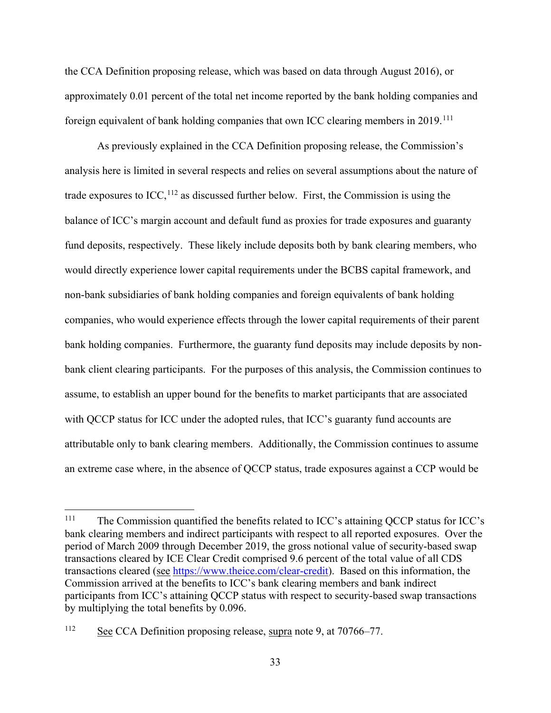the CCA Definition proposing release, which was based on data through August 2016), or approximately 0.01 percent of the total net income reported by the bank holding companies and foreign equivalent of bank holding companies that own ICC clearing members in 2019.<sup>[111](#page-32-0)</sup>

As previously explained in the CCA Definition proposing release, the Commission's analysis here is limited in several respects and relies on several assumptions about the nature of trade exposures to  $ICC, <sup>112</sup>$  $ICC, <sup>112</sup>$  $ICC, <sup>112</sup>$  as discussed further below. First, the Commission is using the balance of ICC's margin account and default fund as proxies for trade exposures and guaranty fund deposits, respectively. These likely include deposits both by bank clearing members, who would directly experience lower capital requirements under the BCBS capital framework, and non-bank subsidiaries of bank holding companies and foreign equivalents of bank holding companies, who would experience effects through the lower capital requirements of their parent bank holding companies. Furthermore, the guaranty fund deposits may include deposits by nonbank client clearing participants. For the purposes of this analysis, the Commission continues to assume, to establish an upper bound for the benefits to market participants that are associated with QCCP status for ICC under the adopted rules, that ICC's guaranty fund accounts are attributable only to bank clearing members. Additionally, the Commission continues to assume an extreme case where, in the absence of QCCP status, trade exposures against a CCP would be

<span id="page-32-0"></span><sup>&</sup>lt;sup>111</sup> The Commission quantified the benefits related to ICC's attaining QCCP status for ICC's bank clearing members and indirect participants with respect to all reported exposures. Over the period of March 2009 through December 2019, the gross notional value of security-based swap transactions cleared by ICE Clear Credit comprised 9.6 percent of the total value of all CDS transactions cleared (see [https://www.theice.com/clear-credit\)](https://www.theice.com/clear-credit). Based on this information, the Commission arrived at the benefits to ICC's bank clearing members and bank indirect participants from ICC's attaining QCCP status with respect to security-based swap transactions by multiplying the total benefits by 0.096.

<span id="page-32-1"></span><sup>112</sup> See CCA Definition proposing release, supra note [9,](#page-3-6) at 70766–77.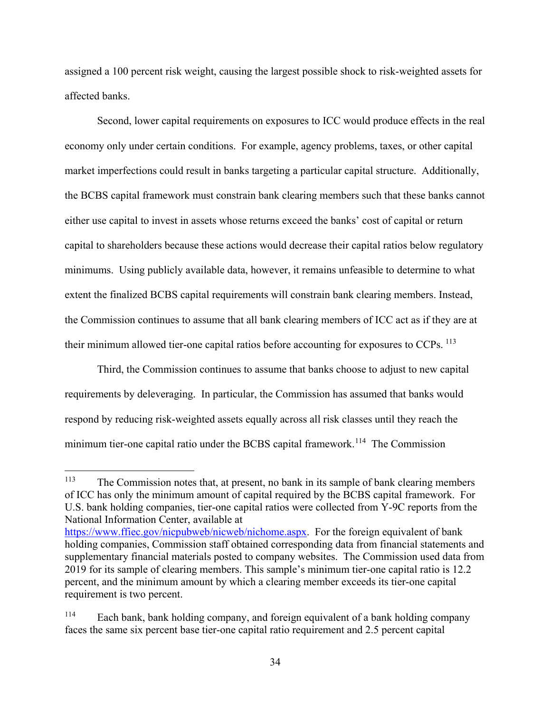assigned a 100 percent risk weight, causing the largest possible shock to risk-weighted assets for affected banks.

Second, lower capital requirements on exposures to ICC would produce effects in the real economy only under certain conditions. For example, agency problems, taxes, or other capital market imperfections could result in banks targeting a particular capital structure. Additionally, the BCBS capital framework must constrain bank clearing members such that these banks cannot either use capital to invest in assets whose returns exceed the banks' cost of capital or return capital to shareholders because these actions would decrease their capital ratios below regulatory minimums. Using publicly available data, however, it remains unfeasible to determine to what extent the finalized BCBS capital requirements will constrain bank clearing members. Instead, the Commission continues to assume that all bank clearing members of ICC act as if they are at their minimum allowed tier-one capital ratios before accounting for exposures to  $CCPs$ . <sup>[113](#page-33-0)</sup>

Third, the Commission continues to assume that banks choose to adjust to new capital requirements by deleveraging. In particular, the Commission has assumed that banks would respond by reducing risk-weighted assets equally across all risk classes until they reach the minimum tier-one capital ratio under the BCBS capital framework.<sup>114</sup> The Commission

<span id="page-33-0"></span> <sup>113</sup> The Commission notes that, at present, no bank in its sample of bank clearing members of ICC has only the minimum amount of capital required by the BCBS capital framework. For U.S. bank holding companies, tier-one capital ratios were collected from Y-9C reports from the National Information Center, available at

[https://www.ffiec.gov/nicpubweb/nicweb/nichome.aspx.](https://www.ffiec.gov/nicpubweb/nicweb/nichome.aspx) For the foreign equivalent of bank holding companies, Commission staff obtained corresponding data from financial statements and supplementary financial materials posted to company websites. The Commission used data from 2019 for its sample of clearing members. This sample's minimum tier-one capital ratio is 12.2 percent, and the minimum amount by which a clearing member exceeds its tier-one capital requirement is two percent.

<span id="page-33-1"></span><sup>114</sup> Each bank, bank holding company, and foreign equivalent of a bank holding company faces the same six percent base tier-one capital ratio requirement and 2.5 percent capital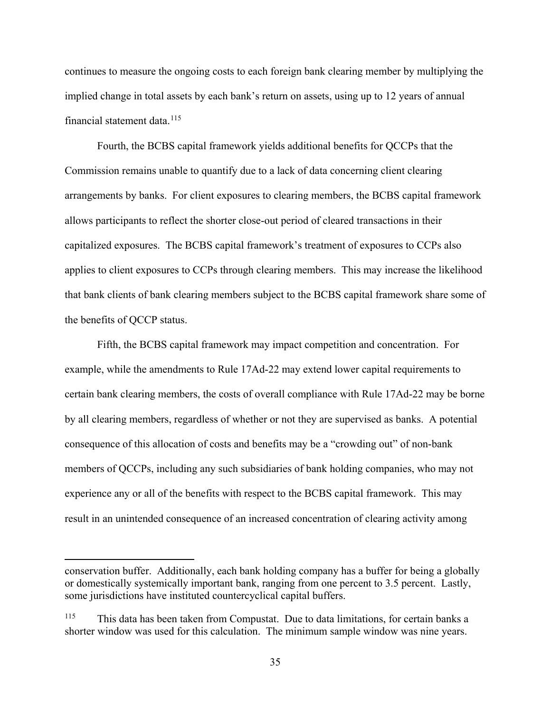continues to measure the ongoing costs to each foreign bank clearing member by multiplying the implied change in total assets by each bank's return on assets, using up to 12 years of annual financial statement data. $115$ 

Fourth, the BCBS capital framework yields additional benefits for QCCPs that the Commission remains unable to quantify due to a lack of data concerning client clearing arrangements by banks. For client exposures to clearing members, the BCBS capital framework allows participants to reflect the shorter close-out period of cleared transactions in their capitalized exposures. The BCBS capital framework's treatment of exposures to CCPs also applies to client exposures to CCPs through clearing members. This may increase the likelihood that bank clients of bank clearing members subject to the BCBS capital framework share some of the benefits of QCCP status.

Fifth, the BCBS capital framework may impact competition and concentration. For example, while the amendments to Rule 17Ad-22 may extend lower capital requirements to certain bank clearing members, the costs of overall compliance with Rule 17Ad-22 may be borne by all clearing members, regardless of whether or not they are supervised as banks. A potential consequence of this allocation of costs and benefits may be a "crowding out" of non-bank members of QCCPs, including any such subsidiaries of bank holding companies, who may not experience any or all of the benefits with respect to the BCBS capital framework. This may result in an unintended consequence of an increased concentration of clearing activity among

 $\overline{a}$ 

conservation buffer. Additionally, each bank holding company has a buffer for being a globally or domestically systemically important bank, ranging from one percent to 3.5 percent. Lastly, some jurisdictions have instituted countercyclical capital buffers.

<span id="page-34-0"></span><sup>115</sup> This data has been taken from Compustat. Due to data limitations, for certain banks a shorter window was used for this calculation. The minimum sample window was nine years.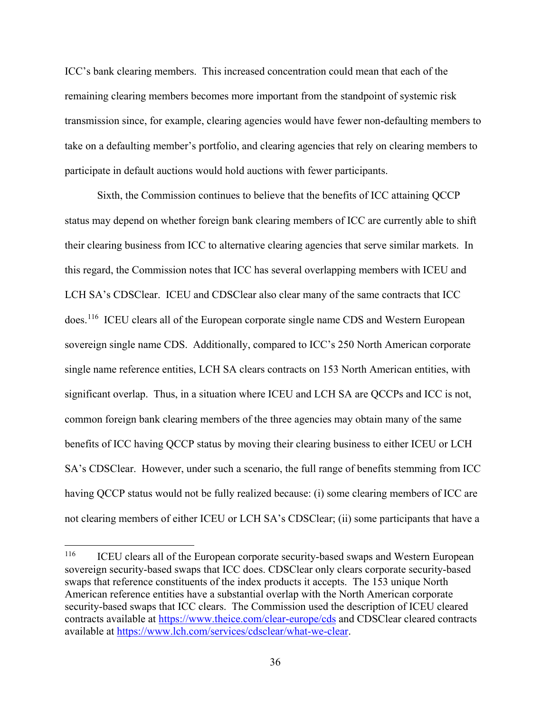ICC's bank clearing members. This increased concentration could mean that each of the remaining clearing members becomes more important from the standpoint of systemic risk transmission since, for example, clearing agencies would have fewer non-defaulting members to take on a defaulting member's portfolio, and clearing agencies that rely on clearing members to participate in default auctions would hold auctions with fewer participants.

Sixth, the Commission continues to believe that the benefits of ICC attaining QCCP status may depend on whether foreign bank clearing members of ICC are currently able to shift their clearing business from ICC to alternative clearing agencies that serve similar markets. In this regard, the Commission notes that ICC has several overlapping members with ICEU and LCH SA's CDSClear. ICEU and CDSClear also clear many of the same contracts that ICC does.<sup>[116](#page-35-0)</sup> ICEU clears all of the European corporate single name CDS and Western European sovereign single name CDS. Additionally, compared to ICC's 250 North American corporate single name reference entities, LCH SA clears contracts on 153 North American entities, with significant overlap. Thus, in a situation where ICEU and LCH SA are QCCPs and ICC is not, common foreign bank clearing members of the three agencies may obtain many of the same benefits of ICC having QCCP status by moving their clearing business to either ICEU or LCH SA's CDSClear. However, under such a scenario, the full range of benefits stemming from ICC having QCCP status would not be fully realized because: (i) some clearing members of ICC are not clearing members of either ICEU or LCH SA's CDSClear; (ii) some participants that have a

<span id="page-35-0"></span><sup>&</sup>lt;sup>116</sup> ICEU clears all of the European corporate security-based swaps and Western European sovereign security-based swaps that ICC does. CDSClear only clears corporate security-based swaps that reference constituents of the index products it accepts. The 153 unique North American reference entities have a substantial overlap with the North American corporate security-based swaps that ICC clears. The Commission used the description of ICEU cleared contracts available at<https://www.theice.com/clear-europe/cds> and CDSClear cleared contracts available at [https://www.lch.com/services/cdsclear/what-we-clear.](https://www.lch.com/services/cdsclear/what-we-clear)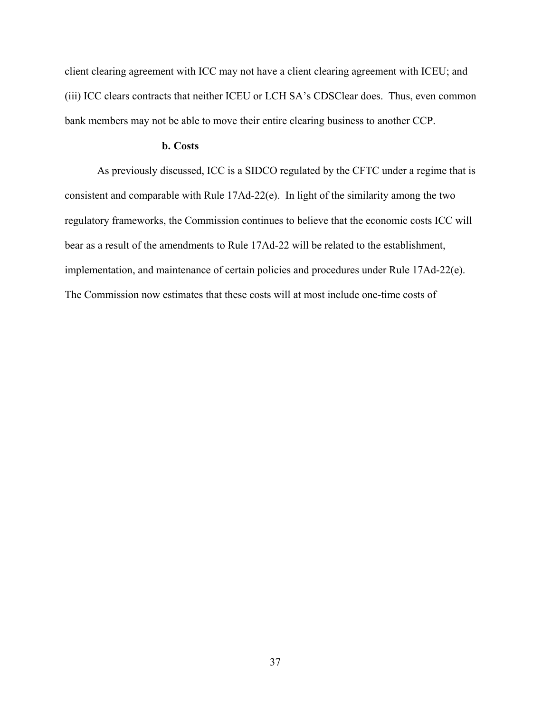client clearing agreement with ICC may not have a client clearing agreement with ICEU; and (iii) ICC clears contracts that neither ICEU or LCH SA's CDSClear does. Thus, even common bank members may not be able to move their entire clearing business to another CCP.

# **b. Costs**

As previously discussed, ICC is a SIDCO regulated by the CFTC under a regime that is consistent and comparable with Rule 17Ad-22(e). In light of the similarity among the two regulatory frameworks, the Commission continues to believe that the economic costs ICC will bear as a result of the amendments to Rule 17Ad-22 will be related to the establishment, implementation, and maintenance of certain policies and procedures under Rule 17Ad-22(e). The Commission now estimates that these costs will at most include one-time costs of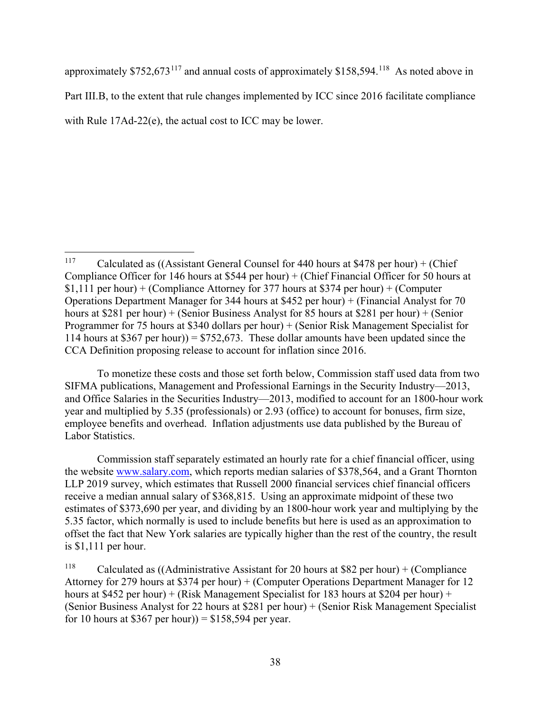approximately \$752,673<sup>[117](#page-37-0)</sup> and annual costs of approximately \$158,594.<sup>[118](#page-37-1)</sup> As noted above in Part [III.B,](#page-20-0) to the extent that rule changes implemented by ICC since 2016 facilitate compliance with Rule 17Ad-22(e), the actual cost to ICC may be lower.

To monetize these costs and those set forth below, Commission staff used data from two SIFMA publications, Management and Professional Earnings in the Security Industry—2013, and Office Salaries in the Securities Industry—2013, modified to account for an 1800-hour work year and multiplied by 5.35 (professionals) or 2.93 (office) to account for bonuses, firm size, employee benefits and overhead. Inflation adjustments use data published by the Bureau of Labor Statistics.

Commission staff separately estimated an hourly rate for a chief financial officer, using the website [www.salary.com,](http://www.salary.com/) which reports median salaries of \$378,564, and a Grant Thornton LLP 2019 survey, which estimates that Russell 2000 financial services chief financial officers receive a median annual salary of \$368,815. Using an approximate midpoint of these two estimates of \$373,690 per year, and dividing by an 1800-hour work year and multiplying by the 5.35 factor, which normally is used to include benefits but here is used as an approximation to offset the fact that New York salaries are typically higher than the rest of the country, the result is \$1,111 per hour.

<span id="page-37-1"></span><sup>118</sup> Calculated as ((Administrative Assistant for 20 hours at \$82 per hour) + (Compliance Attorney for 279 hours at \$374 per hour) + (Computer Operations Department Manager for 12 hours at \$452 per hour) + (Risk Management Specialist for 183 hours at \$204 per hour) + (Senior Business Analyst for 22 hours at \$281 per hour) + (Senior Risk Management Specialist for 10 hours at \$367 per hour)) =  $$158,594$  per year.

<span id="page-37-0"></span><sup>&</sup>lt;sup>117</sup> Calculated as ((Assistant General Counsel for 440 hours at \$478 per hour) + (Chief Compliance Officer for 146 hours at \$544 per hour) + (Chief Financial Officer for 50 hours at \$1,111 per hour) + (Compliance Attorney for 377 hours at \$374 per hour) + (Computer Operations Department Manager for 344 hours at \$452 per hour) + (Financial Analyst for 70 hours at \$281 per hour) + (Senior Business Analyst for 85 hours at \$281 per hour) + (Senior Programmer for 75 hours at \$340 dollars per hour) + (Senior Risk Management Specialist for 114 hours at \$367 per hour) =  $$752,673$ . These dollar amounts have been updated since the CCA Definition proposing release to account for inflation since 2016.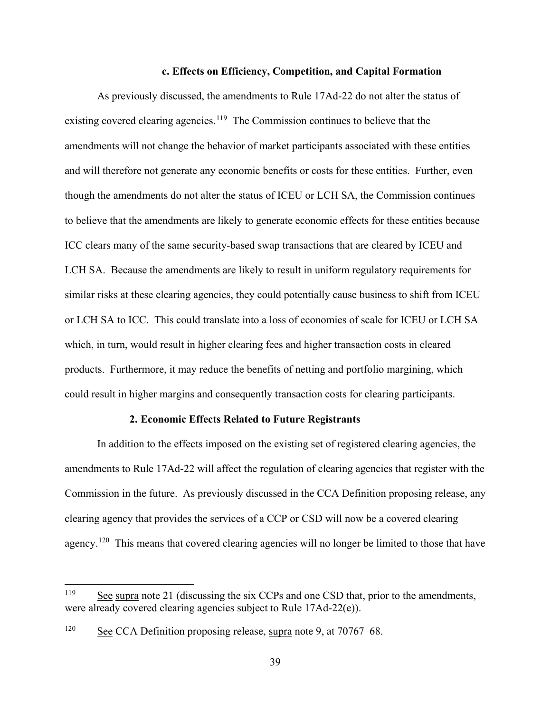#### **c. Effects on Efficiency, Competition, and Capital Formation**

<span id="page-38-0"></span>As previously discussed, the amendments to Rule 17Ad-22 do not alter the status of existing covered clearing agencies.<sup>[119](#page-38-1)</sup> The Commission continues to believe that the amendments will not change the behavior of market participants associated with these entities and will therefore not generate any economic benefits or costs for these entities. Further, even though the amendments do not alter the status of ICEU or LCH SA, the Commission continues to believe that the amendments are likely to generate economic effects for these entities because ICC clears many of the same security-based swap transactions that are cleared by ICEU and LCH SA. Because the amendments are likely to result in uniform regulatory requirements for similar risks at these clearing agencies, they could potentially cause business to shift from ICEU or LCH SA to ICC. This could translate into a loss of economies of scale for ICEU or LCH SA which, in turn, would result in higher clearing fees and higher transaction costs in cleared products. Furthermore, it may reduce the benefits of netting and portfolio margining, which could result in higher margins and consequently transaction costs for clearing participants.

# **2. Economic Effects Related to Future Registrants**

In addition to the effects imposed on the existing set of registered clearing agencies, the amendments to Rule 17Ad-22 will affect the regulation of clearing agencies that register with the Commission in the future. As previously discussed in the CCA Definition proposing release, any clearing agency that provides the services of a CCP or CSD will now be a covered clearing agency.<sup>120</sup> This means that covered clearing agencies will no longer be limited to those that have

<span id="page-38-1"></span><sup>&</sup>lt;sup>119</sup> See supra note [21](#page-8-2) (discussing the six CCPs and one CSD that, prior to the amendments, were already covered clearing agencies subject to Rule 17Ad-22(e)).

<span id="page-38-2"></span><sup>120</sup> See CCA Definition proposing release, supra note [9,](#page-3-6) at 70767–68.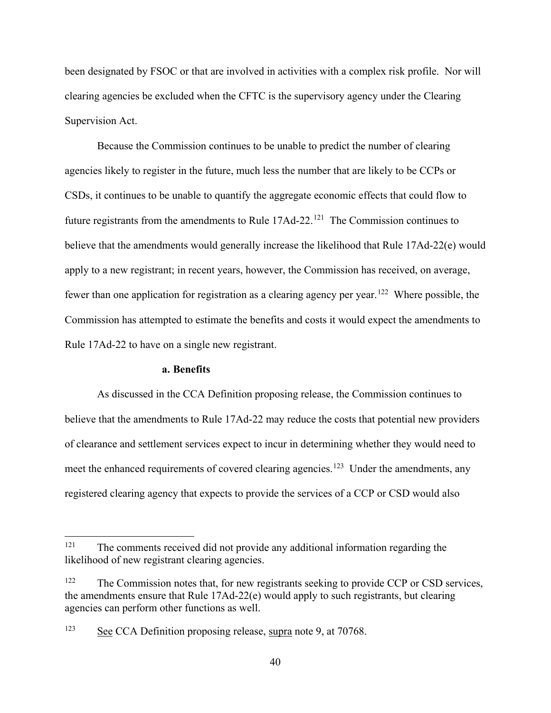been designated by FSOC or that are involved in activities with a complex risk profile. Nor will clearing agencies be excluded when the CFTC is the supervisory agency under the Clearing Supervision Act.

Because the Commission continues to be unable to predict the number of clearing agencies likely to register in the future, much less the number that are likely to be CCPs or CSDs, it continues to be unable to quantify the aggregate economic effects that could flow to future registrants from the amendments to Rule  $17Ad-22$ .<sup>[121](#page-39-0)</sup> The Commission continues to believe that the amendments would generally increase the likelihood that Rule 17Ad-22(e) would apply to a new registrant; in recent years, however, the Commission has received, on average, fewer than one application for registration as a clearing agency per year.<sup>122</sup> Where possible, the Commission has attempted to estimate the benefits and costs it would expect the amendments to Rule 17Ad-22 to have on a single new registrant.

#### **a. Benefits**

As discussed in the CCA Definition proposing release, the Commission continues to believe that the amendments to Rule 17Ad-22 may reduce the costs that potential new providers of clearance and settlement services expect to incur in determining whether they would need to meet the enhanced requirements of covered clearing agencies.<sup>[123](#page-39-2)</sup> Under the amendments, any registered clearing agency that expects to provide the services of a CCP or CSD would also

<span id="page-39-0"></span><sup>&</sup>lt;sup>121</sup> The comments received did not provide any additional information regarding the likelihood of new registrant clearing agencies.

<span id="page-39-1"></span><sup>&</sup>lt;sup>122</sup> The Commission notes that, for new registrants seeking to provide CCP or CSD services, the amendments ensure that Rule 17Ad-22(e) would apply to such registrants, but clearing agencies can perform other functions as well.

<span id="page-39-2"></span><sup>123</sup> See CCA Definition proposing release, supra note [9,](#page-3-6) at 70768.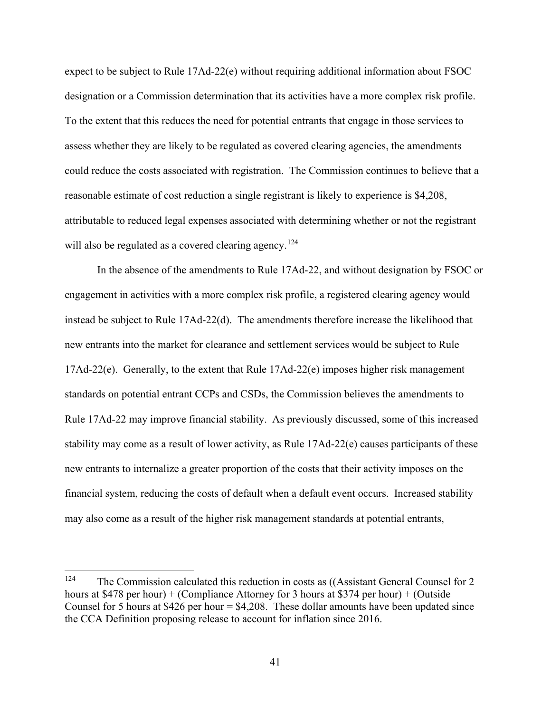expect to be subject to Rule 17Ad-22(e) without requiring additional information about FSOC designation or a Commission determination that its activities have a more complex risk profile. To the extent that this reduces the need for potential entrants that engage in those services to assess whether they are likely to be regulated as covered clearing agencies, the amendments could reduce the costs associated with registration. The Commission continues to believe that a reasonable estimate of cost reduction a single registrant is likely to experience is \$4,208, attributable to reduced legal expenses associated with determining whether or not the registrant will also be regulated as a covered clearing agency.<sup>[124](#page-40-0)</sup>

In the absence of the amendments to Rule 17Ad-22, and without designation by FSOC or engagement in activities with a more complex risk profile, a registered clearing agency would instead be subject to Rule 17Ad-22(d). The amendments therefore increase the likelihood that new entrants into the market for clearance and settlement services would be subject to Rule 17Ad-22(e). Generally, to the extent that Rule 17Ad-22(e) imposes higher risk management standards on potential entrant CCPs and CSDs, the Commission believes the amendments to Rule 17Ad-22 may improve financial stability. As previously discussed, some of this increased stability may come as a result of lower activity, as Rule 17Ad-22(e) causes participants of these new entrants to internalize a greater proportion of the costs that their activity imposes on the financial system, reducing the costs of default when a default event occurs. Increased stability may also come as a result of the higher risk management standards at potential entrants,

<span id="page-40-0"></span><sup>&</sup>lt;sup>124</sup> The Commission calculated this reduction in costs as ((Assistant General Counsel for 2 hours at \$478 per hour) + (Compliance Attorney for 3 hours at \$374 per hour) + (Outside Counsel for 5 hours at \$426 per hour  $=$  \$4,208. These dollar amounts have been updated since the CCA Definition proposing release to account for inflation since 2016.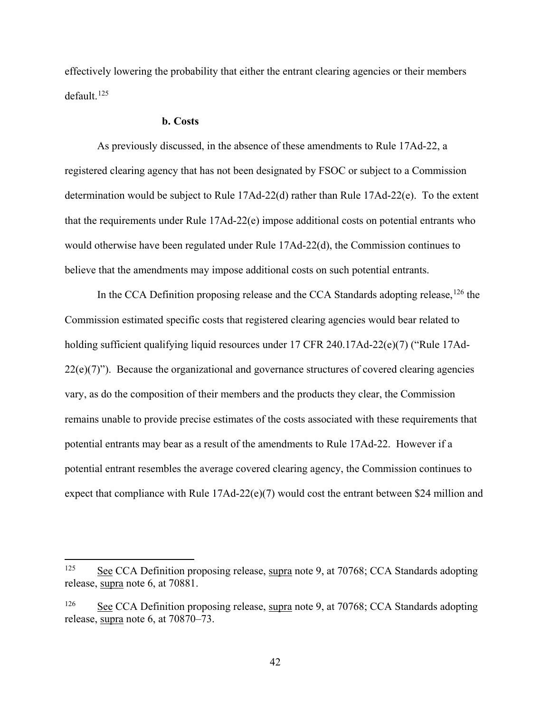effectively lowering the probability that either the entrant clearing agencies or their members default. [125](#page-41-0)

#### **b. Costs**

As previously discussed, in the absence of these amendments to Rule 17Ad-22, a registered clearing agency that has not been designated by FSOC or subject to a Commission determination would be subject to Rule 17Ad-22(d) rather than Rule 17Ad-22(e). To the extent that the requirements under Rule 17Ad-22(e) impose additional costs on potential entrants who would otherwise have been regulated under Rule 17Ad-22(d), the Commission continues to believe that the amendments may impose additional costs on such potential entrants.

In the CCA Definition proposing release and the CCA Standards adopting release,  $126$  the Commission estimated specific costs that registered clearing agencies would bear related to holding sufficient qualifying liquid resources under 17 CFR 240.17Ad-22(e)(7) ("Rule 17Ad- $22(e)(7)$ "). Because the organizational and governance structures of covered clearing agencies vary, as do the composition of their members and the products they clear, the Commission remains unable to provide precise estimates of the costs associated with these requirements that potential entrants may bear as a result of the amendments to Rule 17Ad-22. However if a potential entrant resembles the average covered clearing agency, the Commission continues to expect that compliance with Rule 17Ad-22(e)(7) would cost the entrant between \$24 million and

<span id="page-41-0"></span><sup>&</sup>lt;sup>125</sup> See CCA Definition proposing release, supra note [9,](#page-3-6) at  $70768$ ; CCA Standards adopting release, supra note [6,](#page-3-0) at 70881.

<span id="page-41-1"></span> $126$  See CCA Definition proposing release, supra note [9,](#page-3-6) at 70768; CCA Standards adopting release, supra note [6,](#page-3-0) at 70870–73.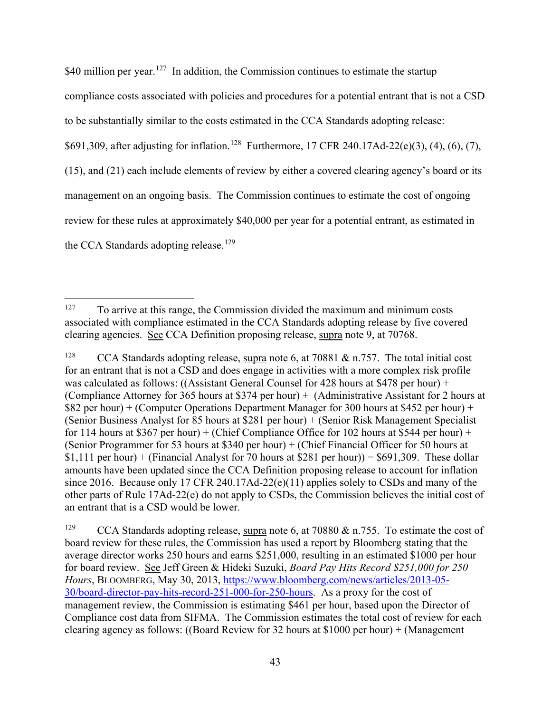\$40 million per year.<sup>[127](#page-42-0)</sup> In addition, the Commission continues to estimate the startup compliance costs associated with policies and procedures for a potential entrant that is not a CSD to be substantially similar to the costs estimated in the CCA Standards adopting release: \$691,309, after adjusting for inflation.<sup>[128](#page-42-1)</sup> Furthermore, 17 CFR 240.17Ad-22(e)(3), (4), (6), (7), (15), and (21) each include elements of review by either a covered clearing agency's board or its management on an ongoing basis. The Commission continues to estimate the cost of ongoing review for these rules at approximately \$40,000 per year for a potential entrant, as estimated in the CCA Standards adopting release.<sup>[129](#page-42-2)</sup>

<span id="page-42-2"></span><sup>129</sup> CCA Standards adopting release, supra note [6,](#page-3-0) at 70880  $\&$  n.755. To estimate the cost of board review for these rules, the Commission has used a report by Bloomberg stating that the average director works 250 hours and earns \$251,000, resulting in an estimated \$1000 per hour for board review. See Jeff Green & Hideki Suzuki, *Board Pay Hits Record \$251,000 for 250 Hours*, BLOOMBERG, May 30, 2013, [https://www.bloomberg.com/news/articles/2013-05-](https://www.bloomberg.com/news/articles/2013-05-30/board-director-pay-hits-record-251-000-for-250-hours) [30/board-director-pay-hits-record-251-000-for-250-hours.](https://www.bloomberg.com/news/articles/2013-05-30/board-director-pay-hits-record-251-000-for-250-hours) As a proxy for the cost of management review, the Commission is estimating \$461 per hour, based upon the Director of Compliance cost data from SIFMA. The Commission estimates the total cost of review for each clearing agency as follows: ((Board Review for 32 hours at \$1000 per hour) + (Management

<span id="page-42-0"></span><sup>&</sup>lt;sup>127</sup> To arrive at this range, the Commission divided the maximum and minimum costs associated with compliance estimated in the CCA Standards adopting release by five covered clearing agencies. See CCA Definition proposing release, supra note [9,](#page-3-6) at 70768.

<span id="page-42-1"></span><sup>&</sup>lt;sup>128</sup> CCA Standards adopting release, supra note [6,](#page-3-0) at 70881 & n.757. The total initial cost for an entrant that is not a CSD and does engage in activities with a more complex risk profile was calculated as follows: ((Assistant General Counsel for 428 hours at \$478 per hour) + (Compliance Attorney for 365 hours at \$374 per hour) + (Administrative Assistant for 2 hours at \$82 per hour) + (Computer Operations Department Manager for 300 hours at \$452 per hour) + (Senior Business Analyst for 85 hours at \$281 per hour) + (Senior Risk Management Specialist for 114 hours at \$367 per hour) + (Chief Compliance Office for 102 hours at \$544 per hour) + (Senior Programmer for 53 hours at \$340 per hour) + (Chief Financial Officer for 50 hours at \$1,111 per hour) + (Financial Analyst for 70 hours at \$281 per hour)) = \$691,309. These dollar amounts have been updated since the CCA Definition proposing release to account for inflation since 2016. Because only 17 CFR 240.17Ad-22(e)(11) applies solely to CSDs and many of the other parts of Rule 17Ad-22(e) do not apply to CSDs, the Commission believes the initial cost of an entrant that is a CSD would be lower.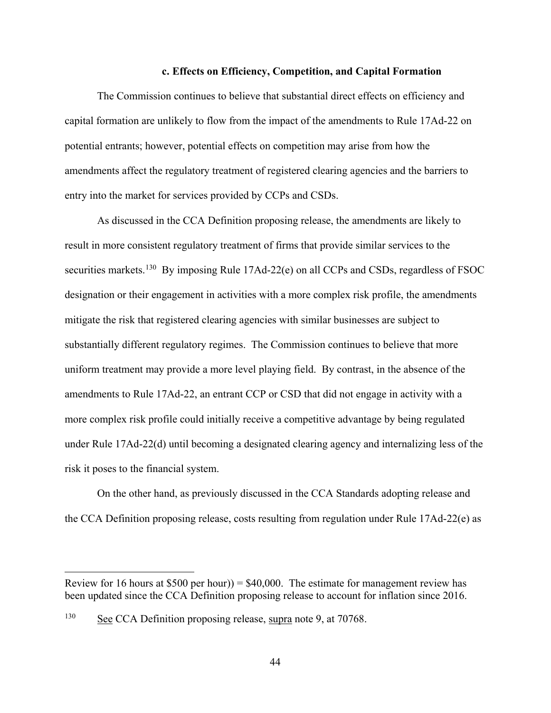#### **c. Effects on Efficiency, Competition, and Capital Formation**

The Commission continues to believe that substantial direct effects on efficiency and capital formation are unlikely to flow from the impact of the amendments to Rule 17Ad-22 on potential entrants; however, potential effects on competition may arise from how the amendments affect the regulatory treatment of registered clearing agencies and the barriers to entry into the market for services provided by CCPs and CSDs.

As discussed in the CCA Definition proposing release, the amendments are likely to result in more consistent regulatory treatment of firms that provide similar services to the securities markets.<sup>[130](#page-43-0)</sup> By imposing Rule 17Ad-22(e) on all CCPs and CSDs, regardless of FSOC designation or their engagement in activities with a more complex risk profile, the amendments mitigate the risk that registered clearing agencies with similar businesses are subject to substantially different regulatory regimes. The Commission continues to believe that more uniform treatment may provide a more level playing field. By contrast, in the absence of the amendments to Rule 17Ad-22, an entrant CCP or CSD that did not engage in activity with a more complex risk profile could initially receive a competitive advantage by being regulated under Rule 17Ad-22(d) until becoming a designated clearing agency and internalizing less of the risk it poses to the financial system.

On the other hand, as previously discussed in the CCA Standards adopting release and the CCA Definition proposing release, costs resulting from regulation under Rule 17Ad-22(e) as

 $\overline{a}$ 

Review for 16 hours at  $$500$  per hour) =  $$40,000$ . The estimate for management review has been updated since the CCA Definition proposing release to account for inflation since 2016.

<span id="page-43-0"></span> $130$  See CCA Definition proposing release, supra note [9,](#page-3-6) at 70768.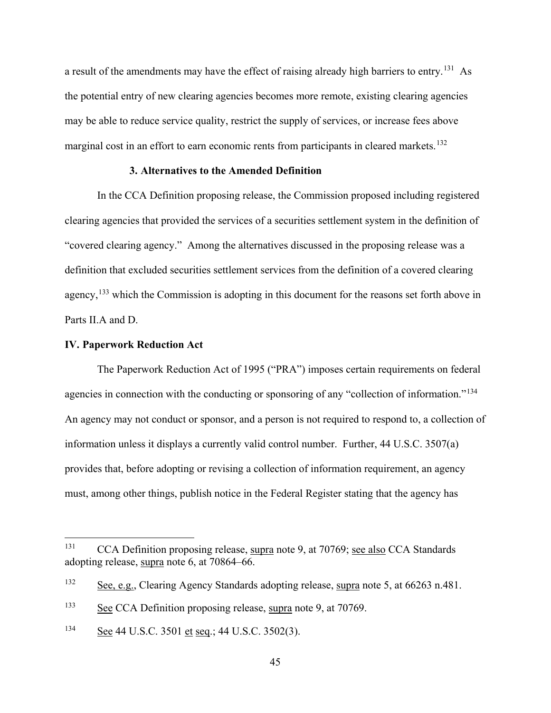a result of the amendments may have the effect of raising already high barriers to entry.<sup>[131](#page-44-1)</sup> As the potential entry of new clearing agencies becomes more remote, existing clearing agencies may be able to reduce service quality, restrict the supply of services, or increase fees above marginal cost in an effort to earn economic rents from participants in cleared markets.<sup>[132](#page-44-2)</sup>

# **3. Alternatives to the Amended Definition**

In the CCA Definition proposing release, the Commission proposed including registered clearing agencies that provided the services of a securities settlement system in the definition of "covered clearing agency." Among the alternatives discussed in the proposing release was a definition that excluded securities settlement services from the definition of a covered clearing agency,<sup>[133](#page-44-3)</sup> which the Commission is adopting in this document for the reasons set forth above in Parts [II.A](#page-4-1) and [D.](#page-15-0)

# <span id="page-44-0"></span>**IV. Paperwork Reduction Act**

The Paperwork Reduction Act of 1995 ("PRA") imposes certain requirements on federal agencies in connection with the conducting or sponsoring of any "collection of information."<sup>134</sup> An agency may not conduct or sponsor, and a person is not required to respond to, a collection of information unless it displays a currently valid control number. Further, 44 U.S.C. 3507(a) provides that, before adopting or revising a collection of information requirement, an agency must, among other things, publish notice in the Federal Register stating that the agency has

<span id="page-44-1"></span><sup>&</sup>lt;sup>131</sup> CCA Definition proposing release, supra note [9,](#page-3-6) at 70769; see also CCA Standards adopting release, supra note [6,](#page-3-0) at 70864–66.

<span id="page-44-2"></span><sup>132</sup> See, e.g., Clearing Agency Standards adopting release, supra note [5,](#page-2-2) at 66263 n.481.

<span id="page-44-3"></span> $133$  See CCA Definition proposing release, supra note [9,](#page-3-6) at 70769.

<span id="page-44-4"></span><sup>134</sup> See 44 U.S.C. 3501 et seq.; 44 U.S.C. 3502(3).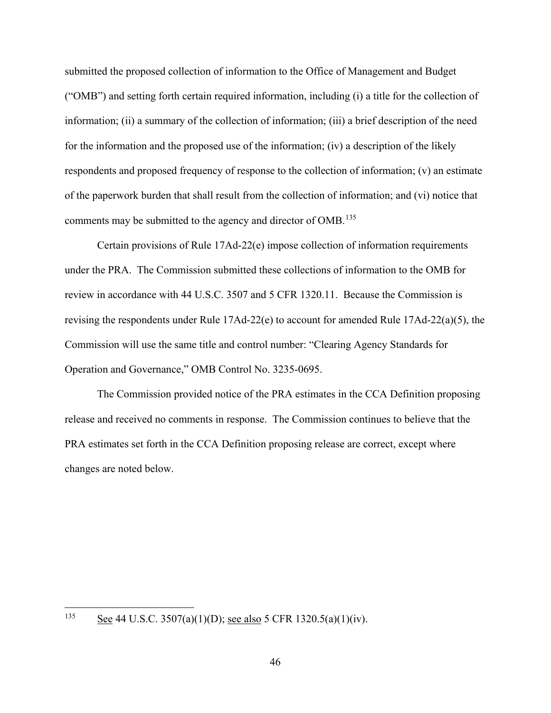submitted the proposed collection of information to the Office of Management and Budget ("OMB") and setting forth certain required information, including (i) a title for the collection of information; (ii) a summary of the collection of information; (iii) a brief description of the need for the information and the proposed use of the information; (iv) a description of the likely respondents and proposed frequency of response to the collection of information; (v) an estimate of the paperwork burden that shall result from the collection of information; and (vi) notice that comments may be submitted to the agency and director of OMB.<sup>[135](#page-45-0)</sup>

Certain provisions of Rule 17Ad-22(e) impose collection of information requirements under the PRA. The Commission submitted these collections of information to the OMB for review in accordance with 44 U.S.C. 3507 and 5 CFR 1320.11. Because the Commission is revising the respondents under Rule 17Ad-22(e) to account for amended Rule 17Ad-22(a)(5), the Commission will use the same title and control number: "Clearing Agency Standards for Operation and Governance," OMB Control No. 3235-0695.

The Commission provided notice of the PRA estimates in the CCA Definition proposing release and received no comments in response. The Commission continues to believe that the PRA estimates set forth in the CCA Definition proposing release are correct, except where changes are noted below.

<span id="page-45-0"></span><sup>&</sup>lt;sup>135</sup> See 44 U.S.C. 3507(a)(1)(D); <u>see also</u> 5 CFR 1320.5(a)(1)(iv).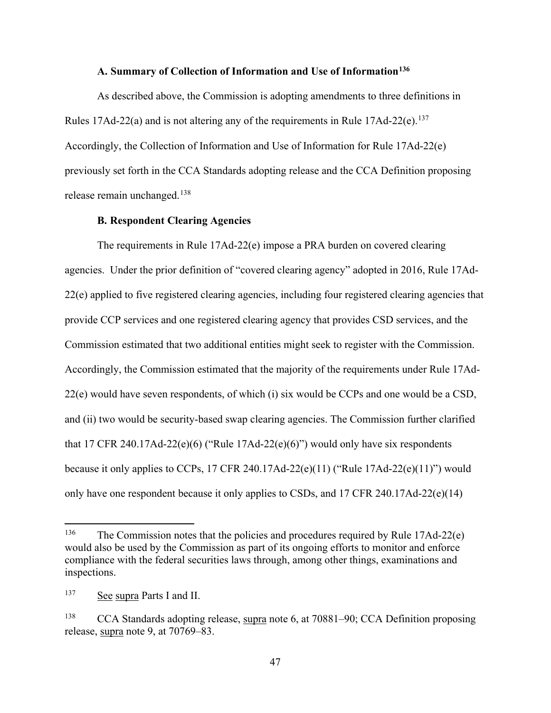# **A. Summary of Collection of Information and Use of Information[136](#page-46-2)**

<span id="page-46-0"></span>As described above, the Commission is adopting amendments to three definitions in Rules 17Ad-22(a) and is not altering any of the requirements in Rule 17Ad-22(e).<sup>137</sup> Accordingly, the Collection of Information and Use of Information for Rule 17Ad-22(e) previously set forth in the CCA Standards adopting release and the CCA Definition proposing release remain unchanged. [138](#page-46-4)

# **B. Respondent Clearing Agencies**

<span id="page-46-1"></span>The requirements in Rule 17Ad-22(e) impose a PRA burden on covered clearing agencies. Under the prior definition of "covered clearing agency" adopted in 2016, Rule 17Ad-22(e) applied to five registered clearing agencies, including four registered clearing agencies that provide CCP services and one registered clearing agency that provides CSD services, and the Commission estimated that two additional entities might seek to register with the Commission. Accordingly, the Commission estimated that the majority of the requirements under Rule 17Ad-22(e) would have seven respondents, of which (i) six would be CCPs and one would be a CSD, and (ii) two would be security-based swap clearing agencies. The Commission further clarified that 17 CFR 240.17Ad-22(e)(6) ("Rule 17Ad-22(e)(6)") would only have six respondents because it only applies to CCPs, 17 CFR 240.17Ad-22(e)(11) ("Rule 17Ad-22(e)(11)") would only have one respondent because it only applies to CSDs, and 17 CFR 240.17Ad-22(e)(14)

<span id="page-46-2"></span><sup>&</sup>lt;sup>136</sup> The Commission notes that the policies and procedures required by Rule 17Ad-22(e) would also be used by the Commission as part of its ongoing efforts to monitor and enforce compliance with the federal securities laws through, among other things, examinations and inspections.

<span id="page-46-3"></span><sup>137</sup> See supra Parts [I](#page-2-0) and [II.](#page-4-0)

<span id="page-46-4"></span><sup>138</sup> CCA Standards adopting release, supra note [6,](#page-3-0) at 70881–90; CCA Definition proposing release, supra note [9,](#page-3-6) at 70769–83.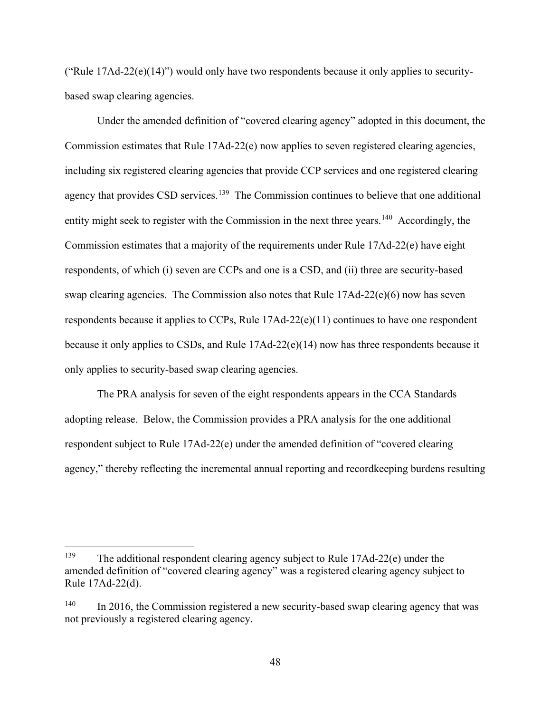("Rule  $17\text{Ad}-22\text{(e)}(14)$ ") would only have two respondents because it only applies to securitybased swap clearing agencies.

Under the amended definition of "covered clearing agency" adopted in this document, the Commission estimates that Rule 17Ad-22(e) now applies to seven registered clearing agencies, including six registered clearing agencies that provide CCP services and one registered clearing agency that provides CSD services.<sup>139</sup> The Commission continues to believe that one additional entity might seek to register with the Commission in the next three years.<sup>[140](#page-47-1)</sup> Accordingly, the Commission estimates that a majority of the requirements under Rule 17Ad-22(e) have eight respondents, of which (i) seven are CCPs and one is a CSD, and (ii) three are security-based swap clearing agencies. The Commission also notes that Rule  $17Ad-22(e)(6)$  now has seven respondents because it applies to CCPs, Rule 17Ad-22(e)(11) continues to have one respondent because it only applies to CSDs, and Rule  $17Ad-22(e)(14)$  now has three respondents because it only applies to security-based swap clearing agencies.

The PRA analysis for seven of the eight respondents appears in the CCA Standards adopting release. Below, the Commission provides a PRA analysis for the one additional respondent subject to Rule 17Ad-22(e) under the amended definition of "covered clearing agency," thereby reflecting the incremental annual reporting and recordkeeping burdens resulting

<span id="page-47-0"></span> <sup>139</sup> The additional respondent clearing agency subject to Rule 17Ad-22(e) under the amended definition of "covered clearing agency" was a registered clearing agency subject to Rule 17Ad-22(d).

<span id="page-47-1"></span><sup>&</sup>lt;sup>140</sup> In 2016, the Commission registered a new security-based swap clearing agency that was not previously a registered clearing agency.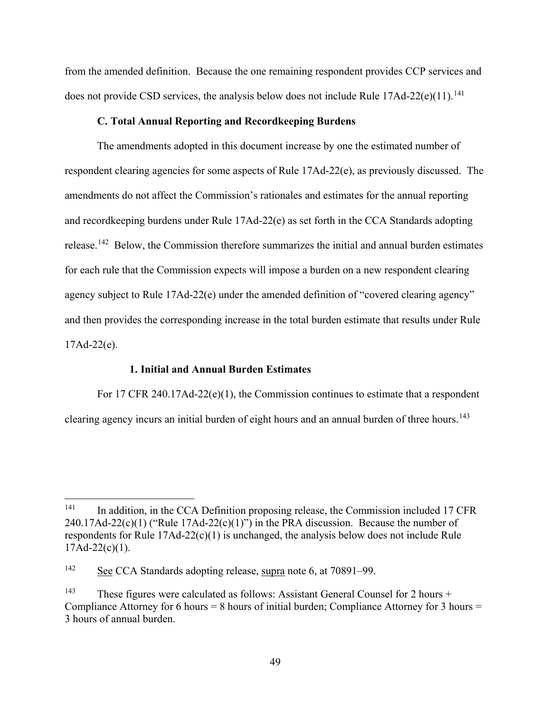from the amended definition. Because the one remaining respondent provides CCP services and does not provide CSD services, the analysis below does not include Rule 17Ad-22(e)(11).<sup>[141](#page-48-1)</sup>

## **C. Total Annual Reporting and Recordkeeping Burdens**

<span id="page-48-0"></span>The amendments adopted in this document increase by one the estimated number of respondent clearing agencies for some aspects of Rule 17Ad-22(e), as previously discussed. The amendments do not affect the Commission's rationales and estimates for the annual reporting and recordkeeping burdens under Rule 17Ad-22(e) as set forth in the CCA Standards adopting release.<sup>142</sup> Below, the Commission therefore summarizes the initial and annual burden estimates for each rule that the Commission expects will impose a burden on a new respondent clearing agency subject to Rule 17Ad-22(e) under the amended definition of "covered clearing agency" and then provides the corresponding increase in the total burden estimate that results under Rule  $17Ad-22(e)$ .

# **1. Initial and Annual Burden Estimates**

For 17 CFR 240.17Ad-22(e)(1), the Commission continues to estimate that a respondent clearing agency incurs an initial burden of eight hours and an annual burden of three hours.<sup>[143](#page-48-3)</sup>

<span id="page-48-1"></span> $141$  In addition, in the CCA Definition proposing release, the Commission included 17 CFR  $240.17$ Ad- $22(c)(1)$  ("Rule  $17$ Ad- $22(c)(1)$ ") in the PRA discussion. Because the number of respondents for Rule 17Ad-22(c)(1) is unchanged, the analysis below does not include Rule  $17Ad-22(c)(1)$ .

<span id="page-48-2"></span><sup>142</sup> See CCA Standards adopting release, supra note [6,](#page-3-0) at 70891–99.

<span id="page-48-3"></span><sup>&</sup>lt;sup>143</sup> These figures were calculated as follows: Assistant General Counsel for 2 hours + Compliance Attorney for 6 hours = 8 hours of initial burden; Compliance Attorney for 3 hours = 3 hours of annual burden.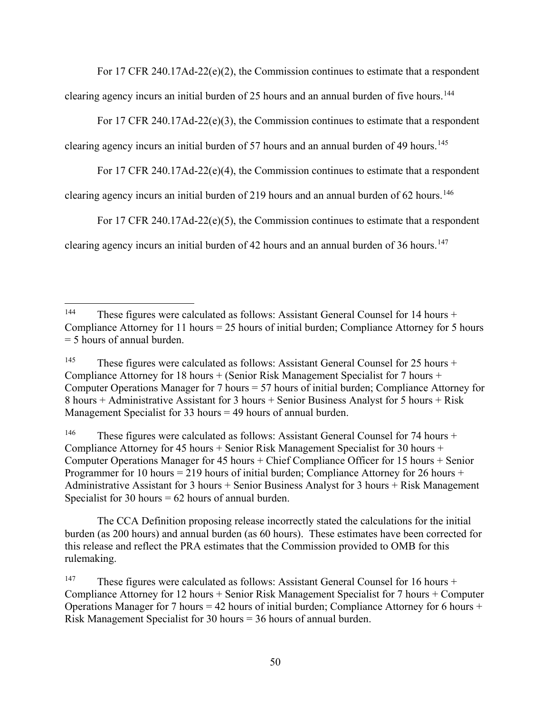For 17 CFR 240.17Ad-22(e)(2), the Commission continues to estimate that a respondent

clearing agency incurs an initial burden of 25 hours and an annual burden of five hours.<sup>[144](#page-49-0)</sup>

For 17 CFR 240.17Ad-22(e)(3), the Commission continues to estimate that a respondent

clearing agency incurs an initial burden of 57 hours and an annual burden of 49 hours.<sup>[145](#page-49-1)</sup>

<span id="page-49-4"></span>For 17 CFR 240.17Ad-22(e)(4), the Commission continues to estimate that a respondent

clearing agency incurs an initial burden of 219 hours and an annual burden of  $62$  hours.<sup>[146](#page-49-2)</sup>

For 17 CFR 240.17Ad-22(e)(5), the Commission continues to estimate that a respondent

clearing agency incurs an initial burden of 42 hours and an annual burden of 36 hours.<sup>[147](#page-49-3)</sup>

<span id="page-49-2"></span><sup>146</sup> These figures were calculated as follows: Assistant General Counsel for 74 hours + Compliance Attorney for 45 hours + Senior Risk Management Specialist for 30 hours + Computer Operations Manager for 45 hours + Chief Compliance Officer for 15 hours + Senior Programmer for 10 hours = 219 hours of initial burden; Compliance Attorney for 26 hours + Administrative Assistant for 3 hours + Senior Business Analyst for 3 hours + Risk Management Specialist for 30 hours  $= 62$  hours of annual burden.

The CCA Definition proposing release incorrectly stated the calculations for the initial burden (as 200 hours) and annual burden (as 60 hours). These estimates have been corrected for this release and reflect the PRA estimates that the Commission provided to OMB for this rulemaking.

<span id="page-49-0"></span><sup>&</sup>lt;sup>144</sup> These figures were calculated as follows: Assistant General Counsel for 14 hours + Compliance Attorney for 11 hours = 25 hours of initial burden; Compliance Attorney for 5 hours = 5 hours of annual burden.

<span id="page-49-1"></span><sup>&</sup>lt;sup>145</sup> These figures were calculated as follows: Assistant General Counsel for 25 hours + Compliance Attorney for 18 hours + (Senior Risk Management Specialist for 7 hours + Computer Operations Manager for 7 hours = 57 hours of initial burden; Compliance Attorney for 8 hours + Administrative Assistant for 3 hours + Senior Business Analyst for 5 hours + Risk Management Specialist for 33 hours  $=$  49 hours of annual burden.

<span id="page-49-3"></span><sup>&</sup>lt;sup>147</sup> These figures were calculated as follows: Assistant General Counsel for 16 hours + Compliance Attorney for 12 hours + Senior Risk Management Specialist for 7 hours + Computer Operations Manager for 7 hours = 42 hours of initial burden; Compliance Attorney for 6 hours + Risk Management Specialist for 30 hours = 36 hours of annual burden.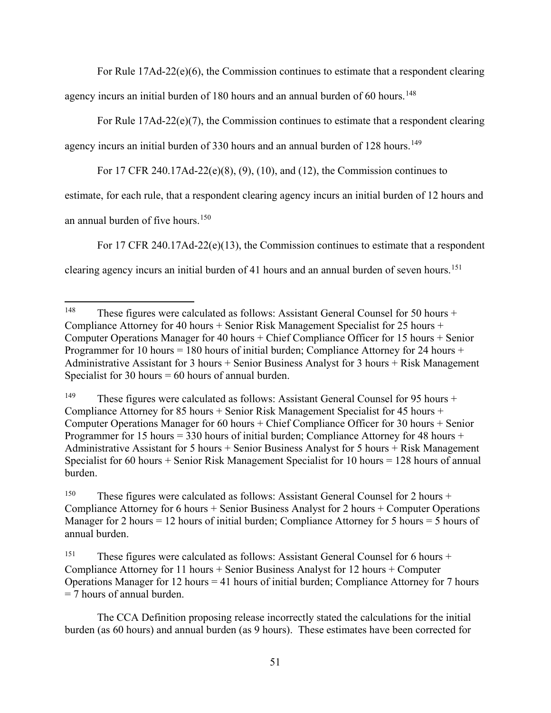For Rule  $17\text{Ad}-22(e)(6)$ , the Commission continues to estimate that a respondent clearing

agency incurs an initial burden of 180 hours and an annual burden of 60 hours.<sup>[148](#page-50-0)</sup>

For Rule  $17\text{Ad}-22\text{(e)}(7)$ , the Commission continues to estimate that a respondent clearing

agency incurs an initial burden of 330 hours and an annual burden of 128 hours.<sup>[149](#page-50-1)</sup>

<span id="page-50-4"></span>For 17 CFR 240.17Ad-22(e)(8), (9), (10), and (12), the Commission continues to

estimate, for each rule, that a respondent clearing agency incurs an initial burden of 12 hours and

an annual burden of five hours.<sup>[150](#page-50-2)</sup>

For 17 CFR 240.17Ad-22( $e$ )(13), the Commission continues to estimate that a respondent clearing agency incurs an initial burden of 41 hours and an annual burden of seven hours.<sup>[151](#page-50-3)</sup>

<span id="page-50-0"></span><sup>&</sup>lt;sup>148</sup> These figures were calculated as follows: Assistant General Counsel for 50 hours + Compliance Attorney for 40 hours + Senior Risk Management Specialist for 25 hours + Computer Operations Manager for 40 hours + Chief Compliance Officer for 15 hours + Senior Programmer for 10 hours = 180 hours of initial burden; Compliance Attorney for 24 hours + Administrative Assistant for 3 hours + Senior Business Analyst for 3 hours + Risk Management Specialist for 30 hours  $= 60$  hours of annual burden.

<span id="page-50-1"></span><sup>&</sup>lt;sup>149</sup> These figures were calculated as follows: Assistant General Counsel for 95 hours + Compliance Attorney for 85 hours + Senior Risk Management Specialist for 45 hours + Computer Operations Manager for 60 hours + Chief Compliance Officer for 30 hours + Senior Programmer for 15 hours = 330 hours of initial burden; Compliance Attorney for 48 hours + Administrative Assistant for 5 hours + Senior Business Analyst for 5 hours + Risk Management Specialist for 60 hours + Senior Risk Management Specialist for 10 hours = 128 hours of annual burden.

<span id="page-50-2"></span><sup>&</sup>lt;sup>150</sup> These figures were calculated as follows: Assistant General Counsel for 2 hours + Compliance Attorney for 6 hours + Senior Business Analyst for 2 hours + Computer Operations Manager for 2 hours = 12 hours of initial burden; Compliance Attorney for 5 hours = 5 hours of annual burden.

<span id="page-50-3"></span><sup>&</sup>lt;sup>151</sup> These figures were calculated as follows: Assistant General Counsel for 6 hours + Compliance Attorney for 11 hours + Senior Business Analyst for 12 hours + Computer Operations Manager for 12 hours = 41 hours of initial burden; Compliance Attorney for 7 hours = 7 hours of annual burden.

The CCA Definition proposing release incorrectly stated the calculations for the initial burden (as 60 hours) and annual burden (as 9 hours). These estimates have been corrected for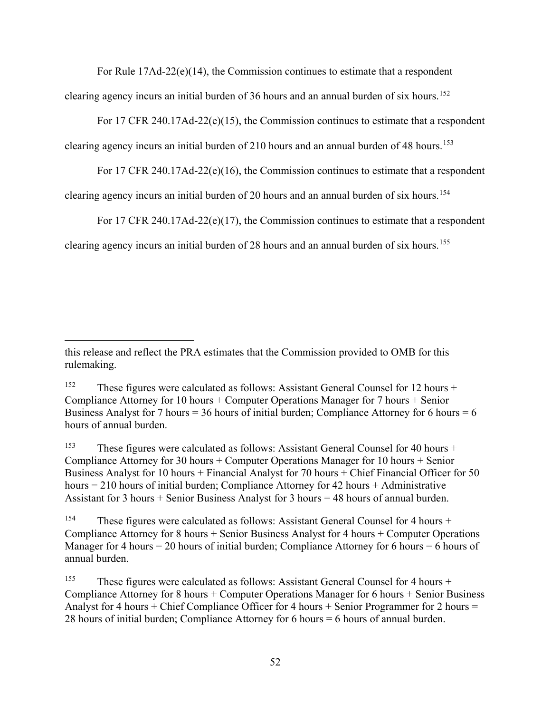For Rule  $17\text{Ad}-22(e)(14)$ , the Commission continues to estimate that a respondent clearing agency incurs an initial burden of 36 hours and an annual burden of six hours.<sup>[152](#page-51-0)</sup>

For 17 CFR 240.17Ad-22( $e$ )(15), the Commission continues to estimate that a respondent

clearing agency incurs an initial burden of 210 hours and an annual burden of 48 hours.<sup>[153](#page-51-1)</sup>

For 17 CFR 240.17Ad-22( $e$ )(16), the Commission continues to estimate that a respondent

clearing agency incurs an initial burden of 20 hours and an annual burden of six hours.<sup>[154](#page-51-2)</sup>

For 17 CFR 240.17Ad-22( $e$ )(17), the Commission continues to estimate that a respondent clearing agency incurs an initial burden of 28 hours and an annual burden of six hours.<sup>[155](#page-51-3)</sup>

 $\overline{a}$ 

<span id="page-51-1"></span><sup>153</sup> These figures were calculated as follows: Assistant General Counsel for 40 hours + Compliance Attorney for 30 hours + Computer Operations Manager for 10 hours + Senior Business Analyst for 10 hours + Financial Analyst for 70 hours + Chief Financial Officer for 50 hours  $= 210$  hours of initial burden; Compliance Attorney for 42 hours  $+$  Administrative Assistant for 3 hours  $+$  Senior Business Analyst for 3 hours  $=$  48 hours of annual burden.

this release and reflect the PRA estimates that the Commission provided to OMB for this rulemaking.

<span id="page-51-0"></span><sup>&</sup>lt;sup>152</sup> These figures were calculated as follows: Assistant General Counsel for 12 hours + Compliance Attorney for 10 hours + Computer Operations Manager for 7 hours + Senior Business Analyst for 7 hours = 36 hours of initial burden; Compliance Attorney for 6 hours =  $6$ hours of annual burden.

<span id="page-51-2"></span><sup>&</sup>lt;sup>154</sup> These figures were calculated as follows: Assistant General Counsel for 4 hours + Compliance Attorney for 8 hours + Senior Business Analyst for 4 hours + Computer Operations Manager for 4 hours = 20 hours of initial burden; Compliance Attorney for 6 hours = 6 hours of annual burden.

<span id="page-51-3"></span><sup>&</sup>lt;sup>155</sup> These figures were calculated as follows: Assistant General Counsel for 4 hours + Compliance Attorney for 8 hours + Computer Operations Manager for 6 hours + Senior Business Analyst for 4 hours + Chief Compliance Officer for 4 hours + Senior Programmer for 2 hours = 28 hours of initial burden; Compliance Attorney for 6 hours = 6 hours of annual burden.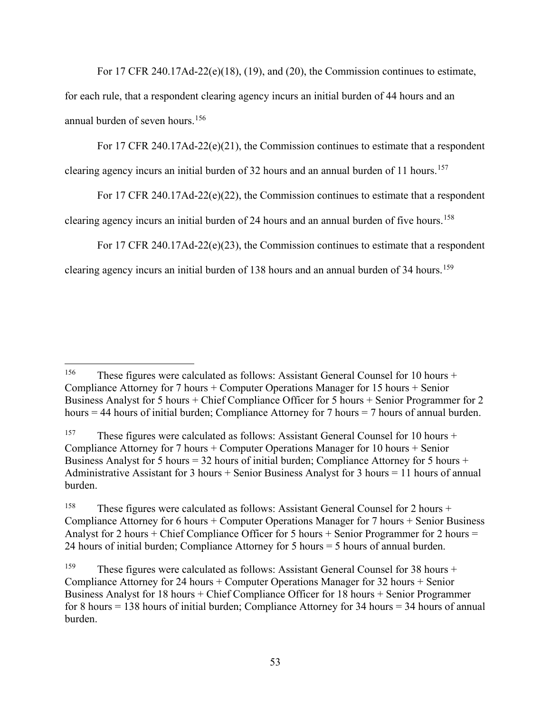For 17 CFR 240.17Ad-22(e)(18), (19), and (20), the Commission continues to estimate, for each rule, that a respondent clearing agency incurs an initial burden of 44 hours and an annual burden of seven hours.[156](#page-52-0)

For 17 CFR 240.17Ad-22( $e$ )(21), the Commission continues to estimate that a respondent clearing agency incurs an initial burden of 32 hours and an annual burden of 11 hours.<sup>[157](#page-52-1)</sup>

For 17 CFR 240.17Ad-22(e)(22), the Commission continues to estimate that a respondent

clearing agency incurs an initial burden of 24 hours and an annual burden of five hours.<sup>[158](#page-52-2)</sup>

For 17 CFR 240.17Ad-22(e)(23), the Commission continues to estimate that a respondent

clearing agency incurs an initial burden of 138 hours and an annual burden of 34 hours.<sup>[159](#page-52-3)</sup>

<span id="page-52-0"></span><sup>&</sup>lt;sup>156</sup> These figures were calculated as follows: Assistant General Counsel for 10 hours + Compliance Attorney for 7 hours + Computer Operations Manager for 15 hours + Senior Business Analyst for 5 hours + Chief Compliance Officer for 5 hours + Senior Programmer for 2 hours  $= 44$  hours of initial burden; Compliance Attorney for 7 hours  $= 7$  hours of annual burden.

<span id="page-52-1"></span><sup>&</sup>lt;sup>157</sup> These figures were calculated as follows: Assistant General Counsel for 10 hours + Compliance Attorney for 7 hours + Computer Operations Manager for 10 hours + Senior Business Analyst for 5 hours = 32 hours of initial burden; Compliance Attorney for 5 hours + Administrative Assistant for 3 hours + Senior Business Analyst for 3 hours = 11 hours of annual burden.

<span id="page-52-2"></span><sup>&</sup>lt;sup>158</sup> These figures were calculated as follows: Assistant General Counsel for 2 hours + Compliance Attorney for 6 hours + Computer Operations Manager for 7 hours + Senior Business Analyst for 2 hours + Chief Compliance Officer for 5 hours + Senior Programmer for 2 hours = 24 hours of initial burden; Compliance Attorney for 5 hours = 5 hours of annual burden.

<span id="page-52-3"></span><sup>&</sup>lt;sup>159</sup> These figures were calculated as follows: Assistant General Counsel for 38 hours + Compliance Attorney for 24 hours + Computer Operations Manager for 32 hours + Senior Business Analyst for 18 hours + Chief Compliance Officer for 18 hours + Senior Programmer for 8 hours = 138 hours of initial burden; Compliance Attorney for 34 hours = 34 hours of annual burden.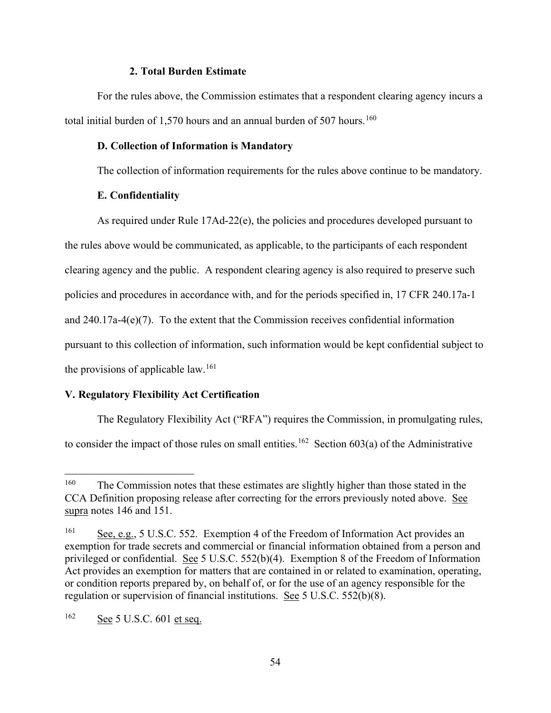# **2. Total Burden Estimate**

For the rules above, the Commission estimates that a respondent clearing agency incurs a total initial burden of 1,570 hours and an annual burden of 507 hours.<sup>[160](#page-53-3)</sup>

#### <span id="page-53-0"></span>**D. Collection of Information is Mandatory**

The collection of information requirements for the rules above continue to be mandatory.

# **E. Confidentiality**

<span id="page-53-1"></span>As required under Rule 17Ad-22(e), the policies and procedures developed pursuant to the rules above would be communicated, as applicable, to the participants of each respondent clearing agency and the public. A respondent clearing agency is also required to preserve such policies and procedures in accordance with, and for the periods specified in, 17 CFR 240.17a-1 and 240.17a-4(e)(7). To the extent that the Commission receives confidential information pursuant to this collection of information, such information would be kept confidential subject to the provisions of applicable law.<sup>161</sup>

# <span id="page-53-2"></span>**V. Regulatory Flexibility Act Certification**

The Regulatory Flexibility Act ("RFA") requires the Commission, in promulgating rules, to consider the impact of those rules on small entities.<sup>[162](#page-53-5)</sup> Section 603(a) of the Administrative

<span id="page-53-3"></span><sup>&</sup>lt;sup>160</sup> The Commission notes that these estimates are slightly higher than those stated in the CCA Definition proposing release after correcting for the errors previously noted above. See supra notes [146](#page-49-4) and [151.](#page-50-4)

<span id="page-53-4"></span><sup>161</sup> See, e.g., 5 U.S.C. 552. Exemption 4 of the Freedom of Information Act provides an exemption for trade secrets and commercial or financial information obtained from a person and privileged or confidential. See 5 U.S.C. 552(b)(4). Exemption 8 of the Freedom of Information Act provides an exemption for matters that are contained in or related to examination, operating, or condition reports prepared by, on behalf of, or for the use of an agency responsible for the regulation or supervision of financial institutions. See 5 U.S.C. 552(b)(8).

<span id="page-53-5"></span> $162$  See 5 U.S.C. 601 et seq.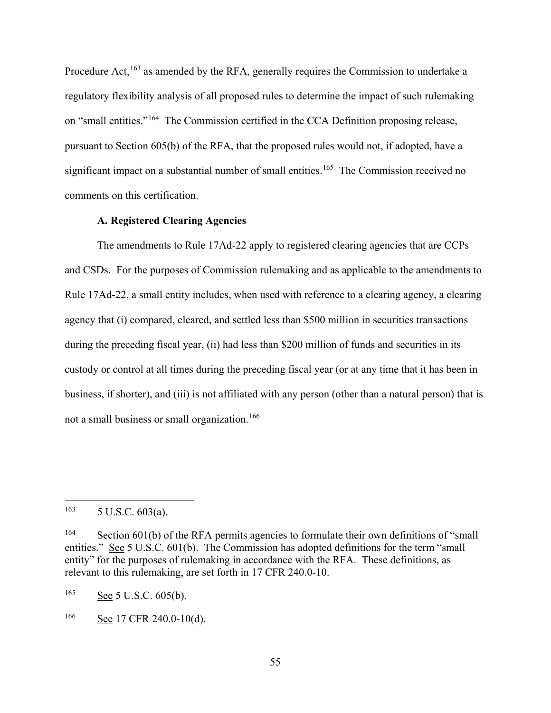Procedure Act,<sup>[163](#page-54-1)</sup> as amended by the RFA, generally requires the Commission to undertake a regulatory flexibility analysis of all proposed rules to determine the impact of such rulemaking on "small entities."[164](#page-54-2) The Commission certified in the CCA Definition proposing release, pursuant to Section 605(b) of the RFA, that the proposed rules would not, if adopted, have a significant impact on a substantial number of small entities.<sup>165</sup> The Commission received no comments on this certification.

# **A. Registered Clearing Agencies**

<span id="page-54-0"></span>The amendments to Rule 17Ad-22 apply to registered clearing agencies that are CCPs and CSDs. For the purposes of Commission rulemaking and as applicable to the amendments to Rule 17Ad-22, a small entity includes, when used with reference to a clearing agency, a clearing agency that (i) compared, cleared, and settled less than \$500 million in securities transactions during the preceding fiscal year, (ii) had less than \$200 million of funds and securities in its custody or control at all times during the preceding fiscal year (or at any time that it has been in business, if shorter), and (iii) is not affiliated with any person (other than a natural person) that is not a small business or small organization.[166](#page-54-4)

<span id="page-54-3"></span><sup>165</sup> See 5 U.S.C. 605(b).

<span id="page-54-1"></span> $163$  5 U.S.C. 603(a).

<span id="page-54-2"></span><sup>&</sup>lt;sup>164</sup> Section 601(b) of the RFA permits agencies to formulate their own definitions of "small" entities." See 5 U.S.C. 601(b). The Commission has adopted definitions for the term "small entity" for the purposes of rulemaking in accordance with the RFA. These definitions, as relevant to this rulemaking, are set forth in 17 CFR 240.0-10.

<span id="page-54-4"></span> $166$  See 17 CFR 240.0-10(d).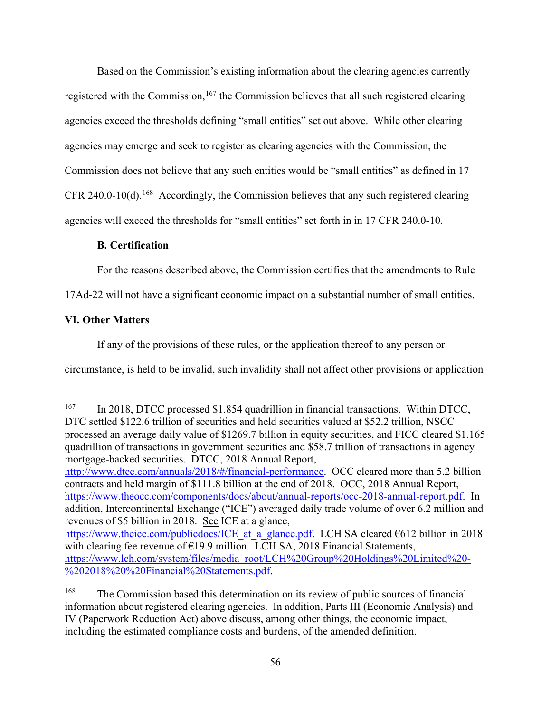Based on the Commission's existing information about the clearing agencies currently registered with the Commission,<sup>[167](#page-55-2)</sup> the Commission believes that all such registered clearing agencies exceed the thresholds defining "small entities" set out above. While other clearing agencies may emerge and seek to register as clearing agencies with the Commission, the Commission does not believe that any such entities would be "small entities" as defined in 17 CFR 240.0-10(d).<sup>[168](#page-55-3)</sup> Accordingly, the Commission believes that any such registered clearing agencies will exceed the thresholds for "small entities" set forth in in 17 CFR 240.0-10.

# <span id="page-55-0"></span>**B. Certification**

For the reasons described above, the Commission certifies that the amendments to Rule

17Ad-22 will not have a significant economic impact on a substantial number of small entities.

# <span id="page-55-1"></span>**VI. Other Matters**

If any of the provisions of these rules, or the application thereof to any person or

circumstance, is held to be invalid, such invalidity shall not affect other provisions or application

<span id="page-55-2"></span><sup>&</sup>lt;sup>167</sup> In 2018, DTCC processed \$1.854 quadrillion in financial transactions. Within DTCC, DTC settled \$122.6 trillion of securities and held securities valued at \$52.2 trillion, NSCC processed an average daily value of \$1269.7 billion in equity securities, and FICC cleared \$1.165 quadrillion of transactions in government securities and \$58.7 trillion of transactions in agency mortgage-backed securities. DTCC, 2018 Annual Report, [http://www.dtcc.com/annuals/2018/#/financial-performance.](http://www.dtcc.com/annuals/2018/#/financial-performance) OCC cleared more than 5.2 billion contracts and held margin of \$111.8 billion at the end of 2018. OCC, 2018 Annual Report, [https://www.theocc.com/components/docs/about/annual-reports/occ-2018-annual-report.pdf.](https://www.theocc.com/components/docs/about/annual-reports/occ-2018-annual-report.pdf) In addition, Intercontinental Exchange ("ICE") averaged daily trade volume of over 6.2 million and revenues of \$5 billion in 2018. See ICE at a glance, https://www.theice.com/publicdocs/ICE at a glance.pdf. LCH SA cleared  $6612$  billion in 2018 with clearing fee revenue of  $E$ 19.9 million. LCH SA, 2018 Financial Statements, [https://www.lch.com/system/files/media\\_root/LCH%20Group%20Holdings%20Limited%20-](https://www.lch.com/system/files/media_root/LCH%20Group%20Holdings%20Limited%20-%202018%20%20Financial%20Statements.pdf) [%202018%20%20Financial%20Statements.pdf.](https://www.lch.com/system/files/media_root/LCH%20Group%20Holdings%20Limited%20-%202018%20%20Financial%20Statements.pdf)

<span id="page-55-3"></span><sup>&</sup>lt;sup>168</sup> The Commission based this determination on its review of public sources of financial information about registered clearing agencies. In addition, Parts [III](#page-16-0) (Economic Analysis) and [IV](#page-44-0) (Paperwork Reduction Act) above discuss, among other things, the economic impact, including the estimated compliance costs and burdens, of the amended definition.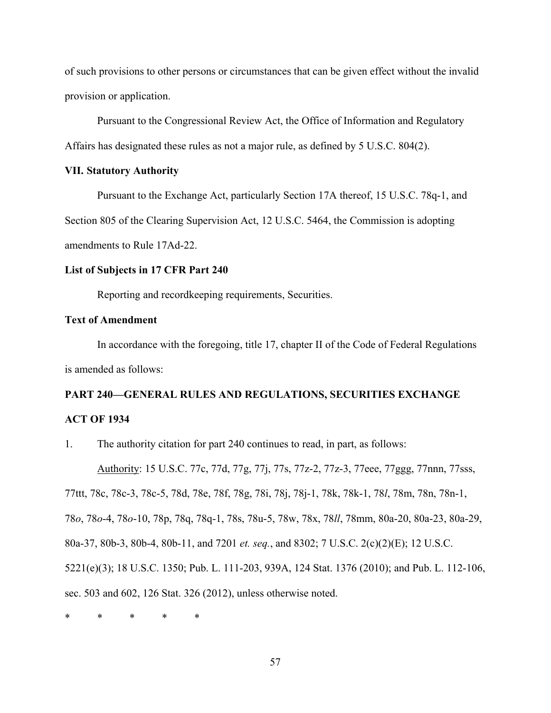of such provisions to other persons or circumstances that can be given effect without the invalid provision or application.

Pursuant to the Congressional Review Act, the Office of Information and Regulatory Affairs has designated these rules as not a major rule, as defined by 5 U.S.C. 804(2).

# <span id="page-56-0"></span>**VII. Statutory Authority**

Pursuant to the Exchange Act, particularly Section 17A thereof, 15 U.S.C. 78q-1, and Section 805 of the Clearing Supervision Act, 12 U.S.C. 5464, the Commission is adopting amendments to Rule 17Ad-22.

# **List of Subjects in 17 CFR Part 240**

Reporting and recordkeeping requirements, Securities.

# **Text of Amendment**

In accordance with the foregoing, title 17, chapter II of the Code of Federal Regulations is amended as follows:

# **PART 240—GENERAL RULES AND REGULATIONS, SECURITIES EXCHANGE ACT OF 1934**

1. The authority citation for part 240 continues to read, in part, as follows:

Authority: 15 U.S.C. 77c, 77d, 77g, 77j, 77s, 77z-2, 77z-3, 77eee, 77ggg, 77nnn, 77sss, 77ttt, 78c, 78c-3, 78c-5, 78d, 78e, 78f, 78g, 78i, 78j, 78j-1, 78k, 78k-1, 78*l*, 78m, 78n, 78n-1, 78*o*, 78*o*-4, 78*o*-10, 78p, 78q, 78q-1, 78s, 78u-5, 78w, 78x, 78*ll*, 78mm, 80a-20, 80a-23, 80a-29, 80a-37, 80b-3, 80b-4, 80b-11, and 7201 *et. seq.*, and 8302; 7 U.S.C. 2(c)(2)(E); 12 U.S.C. 5221(e)(3); 18 U.S.C. 1350; Pub. L. 111-203, 939A, 124 Stat. 1376 (2010); and Pub. L. 112-106, sec. 503 and 602, 126 Stat. 326 (2012), unless otherwise noted.

\* \* \* \* \*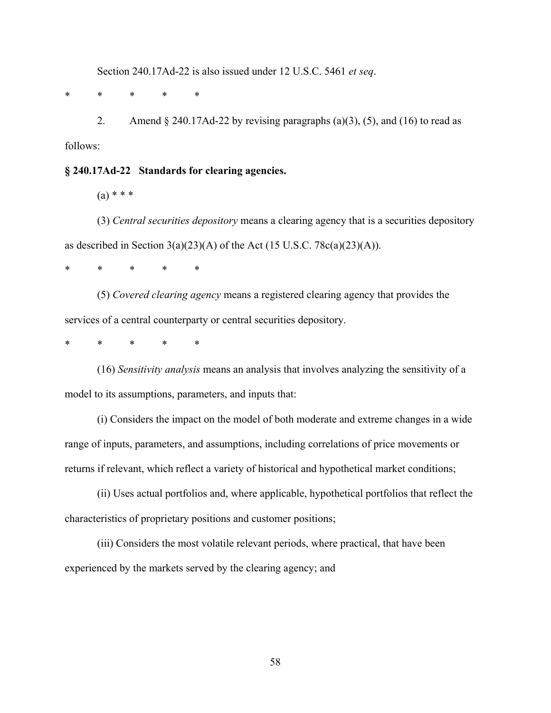Section 240.17Ad-22 is also issued under 12 U.S.C. 5461 *et seq*.

\* \* \* \* \*

2. Amend  $\S$  240.17Ad-22 by revising paragraphs (a)(3), (5), and (16) to read as follows:

#### **§ 240.17Ad-22 Standards for clearing agencies.**

 $(a) * * *$ 

(3) *Central securities depository* means a clearing agency that is a securities depository as described in Section  $3(a)(23)(A)$  of the Act (15 U.S.C. 78c(a)(23)(A)).

\* \* \* \* \*

(5) *Covered clearing agency* means a registered clearing agency that provides the services of a central counterparty or central securities depository.

\* \* \* \* \*

(16) *Sensitivity analysis* means an analysis that involves analyzing the sensitivity of a model to its assumptions, parameters, and inputs that:

(i) Considers the impact on the model of both moderate and extreme changes in a wide range of inputs, parameters, and assumptions, including correlations of price movements or returns if relevant, which reflect a variety of historical and hypothetical market conditions;

(ii) Uses actual portfolios and, where applicable, hypothetical portfolios that reflect the characteristics of proprietary positions and customer positions;

(iii) Considers the most volatile relevant periods, where practical, that have been experienced by the markets served by the clearing agency; and

58